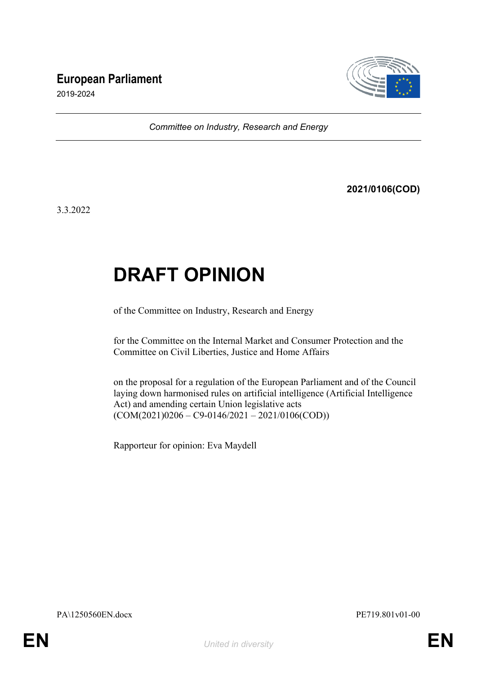# **European Parliament**



2019-2024

*Committee on Industry, Research and Energy*

**2021/0106(COD)**

3.3.2022

# **DRAFT OPINION**

of the Committee on Industry, Research and Energy

for the Committee on the Internal Market and Consumer Protection and the Committee on Civil Liberties, Justice and Home Affairs

on the proposal for a regulation of the European Parliament and of the Council laying down harmonised rules on artificial intelligence (Artificial Intelligence Act) and amending certain Union legislative acts  $(COM(2021)0206 - C9 - 0146/2021 - 2021/0106(COD))$ 

Rapporteur for opinion: Eva Maydell

PA\1250560EN.docx PE719.801v01-00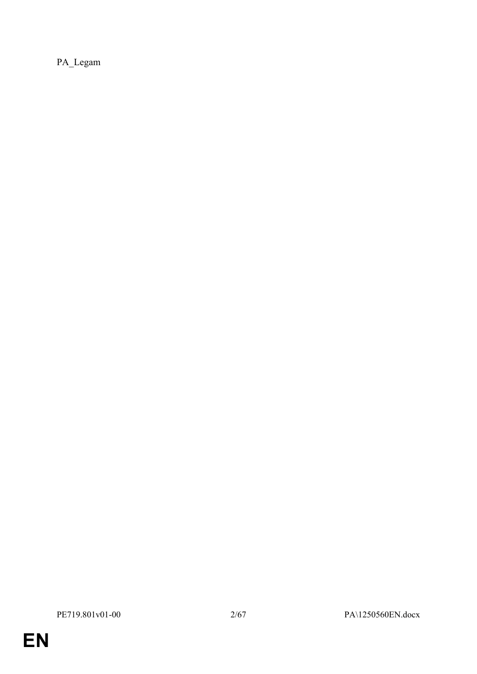PA\_Legam

**EN**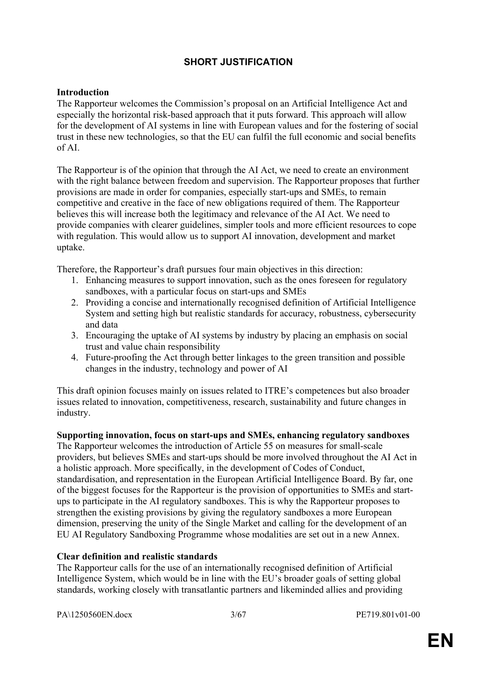# **SHORT JUSTIFICATION**

# **Introduction**

The Rapporteur welcomes the Commission's proposal on an Artificial Intelligence Act and especially the horizontal risk-based approach that it puts forward. This approach will allow for the development of AI systems in line with European values and for the fostering of social trust in these new technologies, so that the EU can fulfil the full economic and social benefits of AI.

The Rapporteur is of the opinion that through the AI Act, we need to create an environment with the right balance between freedom and supervision. The Rapporteur proposes that further provisions are made in order for companies, especially start-ups and SMEs, to remain competitive and creative in the face of new obligations required of them. The Rapporteur believes this will increase both the legitimacy and relevance of the AI Act. We need to provide companies with clearer guidelines, simpler tools and more efficient resources to cope with regulation. This would allow us to support AI innovation, development and market uptake.

Therefore, the Rapporteur's draft pursues four main objectives in this direction:

- 1. Enhancing measures to support innovation, such as the ones foreseen for regulatory sandboxes, with a particular focus on start-ups and SMEs
- 2. Providing a concise and internationally recognised definition of Artificial Intelligence System and setting high but realistic standards for accuracy, robustness, cybersecurity and data
- 3. Encouraging the uptake of AI systems by industry by placing an emphasis on social trust and value chain responsibility
- 4. Future-proofing the Act through better linkages to the green transition and possible changes in the industry, technology and power of AI

This draft opinion focuses mainly on issues related to ITRE's competences but also broader issues related to innovation, competitiveness, research, sustainability and future changes in industry.

# **Supporting innovation, focus on start-ups and SMEs, enhancing regulatory sandboxes**

The Rapporteur welcomes the introduction of Article 55 on measures for small-scale providers, but believes SMEs and start-ups should be more involved throughout the AI Act in a holistic approach. More specifically, in the development of Codes of Conduct, standardisation, and representation in the European Artificial Intelligence Board. By far, one of the biggest focuses for the Rapporteur is the provision of opportunities to SMEs and startups to participate in the AI regulatory sandboxes. This is why the Rapporteur proposes to strengthen the existing provisions by giving the regulatory sandboxes a more European dimension, preserving the unity of the Single Market and calling for the development of an EU AI Regulatory Sandboxing Programme whose modalities are set out in a new Annex.

# **Clear definition and realistic standards**

The Rapporteur calls for the use of an internationally recognised definition of Artificial Intelligence System, which would be in line with the EU's broader goals of setting global standards, working closely with transatlantic partners and likeminded allies and providing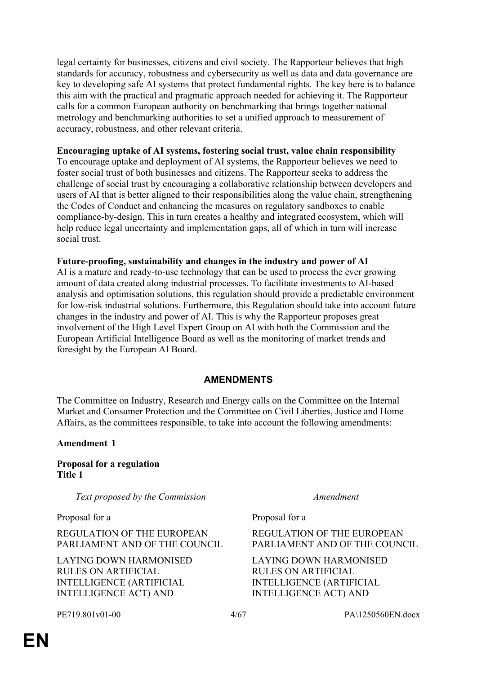legal certainty for businesses, citizens and civil society. The Rapporteur believes that high standards for accuracy, robustness and cybersecurity as well as data and data governance are key to developing safe AI systems that protect fundamental rights. The key here is to balance this aim with the practical and pragmatic approach needed for achieving it. The Rapporteur calls for a common European authority on benchmarking that brings together national metrology and benchmarking authorities to set a unified approach to measurement of accuracy, robustness, and other relevant criteria.

# **Encouraging uptake of AI systems, fostering social trust, value chain responsibility**

To encourage uptake and deployment of AI systems, the Rapporteur believes we need to foster social trust of both businesses and citizens. The Rapporteur seeks to address the challenge of social trust by encouraging a collaborative relationship between developers and users of AI that is better aligned to their responsibilities along the value chain, strengthening the Codes of Conduct and enhancing the measures on regulatory sandboxes to enable compliance-by-design. This in turn creates a healthy and integrated ecosystem, which will help reduce legal uncertainty and implementation gaps, all of which in turn will increase social trust.

# **Future-proofing, sustainability and changes in the industry and power of AI**

AI is a mature and ready-to-use technology that can be used to process the ever growing amount of data created along industrial processes. To facilitate investments to AI-based analysis and optimisation solutions, this regulation should provide a predictable environment for low-risk industrial solutions. Furthermore, this Regulation should take into account future changes in the industry and power of AI. This is why the Rapporteur proposes great involvement of the High Level Expert Group on AI with both the Commission and the European Artificial Intelligence Board as well as the monitoring of market trends and foresight by the European AI Board.

# **AMENDMENTS**

The Committee on Industry, Research and Energy calls on the Committee on the Internal Market and Consumer Protection and the Committee on Civil Liberties, Justice and Home Affairs, as the committees responsible, to take into account the following amendments:

# **Amendment 1**

**Proposal for a regulation Title 1**

*Text proposed by the Commission Amendment*

Proposal for a Proposal for a Proposal for a Proposal for a Proposal for a Proposal for a Proposal for a Tennes

REGULATION OF THE EUROPEAN PARLIAMENT AND OF THE COUNCIL

LAYING DOWN HARMONISED RULES ON ARTIFICIAL INTELLIGENCE (ARTIFICIAL INTELLIGENCE ACT) AND

REGULATION OF THE EUROPEAN PARLIAMENT AND OF THE COUNCIL

LAYING DOWN HARMONISED RULES ON ARTIFICIAL INTELLIGENCE (ARTIFICIAL INTELLIGENCE ACT) AND

PE719.801v01-00 4/67 PA\1250560EN.docx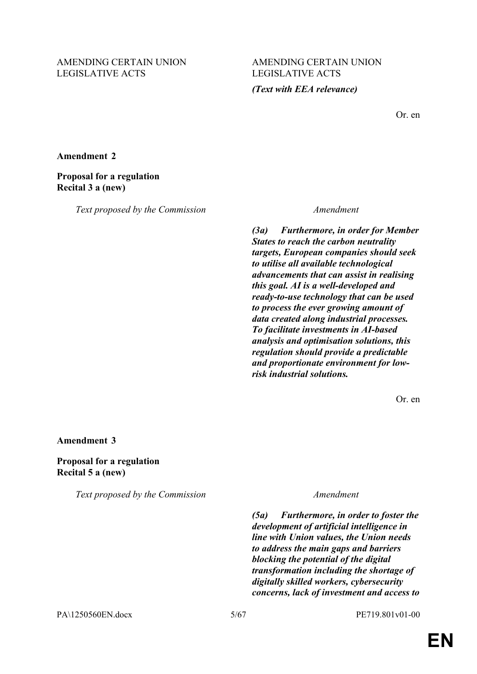# AMENDING CERTAIN UNION LEGISLATIVE ACTS

# AMENDING CERTAIN UNION LEGISLATIVE ACTS

# *(Text with EEA relevance)*

Or. en

**Amendment 2**

# **Proposal for a regulation Recital 3 a (new)**

*Text proposed by the Commission Amendment*

*(3a) Furthermore, in order for Member States to reach the carbon neutrality targets, European companies should seek to utilise all available technological advancements that can assist in realising this goal. AI is a well-developed and ready-to-use technology that can be used to process the ever growing amount of data created along industrial processes. To facilitate investments in AI-based analysis and optimisation solutions, this regulation should provide a predictable and proportionate environment for lowrisk industrial solutions.*

Or. en

### **Amendment 3**

**Proposal for a regulation Recital 5 a (new)**

*Text proposed by the Commission Amendment*

*(5a) Furthermore, in order to foster the development of artificial intelligence in line with Union values, the Union needs to address the main gaps and barriers blocking the potential of the digital transformation including the shortage of digitally skilled workers, cybersecurity concerns, lack of investment and access to* 

PA\1250560EN.docx 5/67 PE719.801v01-00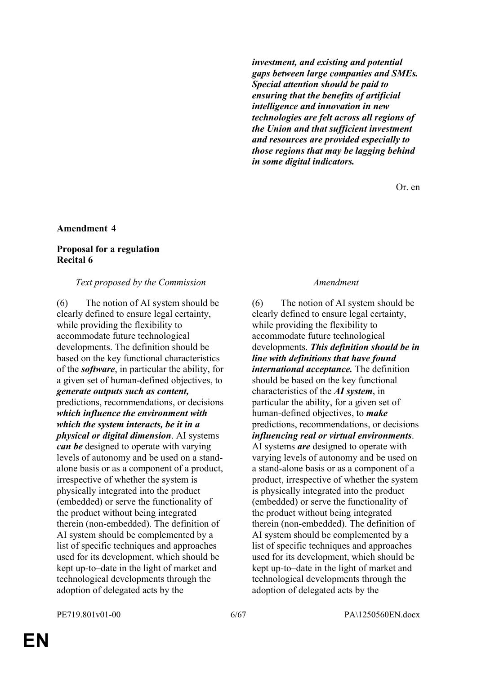*investment, and existing and potential gaps between large companies and SMEs. Special attention should be paid to ensuring that the benefits of artificial intelligence and innovation in new technologies are felt across all regions of the Union and that sufficient investment and resources are provided especially to those regions that may be lagging behind in some digital indicators.*

Or. en

### **Amendment 4**

# **Proposal for a regulation Recital 6**

#### *Text proposed by the Commission Amendment*

(6) The notion of AI system should be clearly defined to ensure legal certainty, while providing the flexibility to accommodate future technological developments. The definition should be based on the key functional characteristics of the *software*, in particular the ability, for a given set of human-defined objectives, to *generate outputs such as content,* predictions, recommendations, or decisions *which influence the environment with which the system interacts, be it in a physical or digital dimension*. AI systems *can be* designed to operate with varying levels of autonomy and be used on a standalone basis or as a component of a product, irrespective of whether the system is physically integrated into the product (embedded) or serve the functionality of the product without being integrated therein (non-embedded). The definition of AI system should be complemented by a list of specific techniques and approaches used for its development, which should be kept up-to–date in the light of market and technological developments through the adoption of delegated acts by the

(6) The notion of AI system should be clearly defined to ensure legal certainty, while providing the flexibility to accommodate future technological developments. *This definition should be in line with definitions that have found international acceptance.* The definition should be based on the key functional characteristics of the *AI system*, in particular the ability, for a given set of human-defined objectives, to *make* predictions, recommendations, or decisions *influencing real or virtual environments*. AI systems *are* designed to operate with varying levels of autonomy and be used on a stand-alone basis or as a component of a product, irrespective of whether the system is physically integrated into the product (embedded) or serve the functionality of the product without being integrated therein (non-embedded). The definition of AI system should be complemented by a list of specific techniques and approaches used for its development, which should be kept up-to–date in the light of market and technological developments through the adoption of delegated acts by the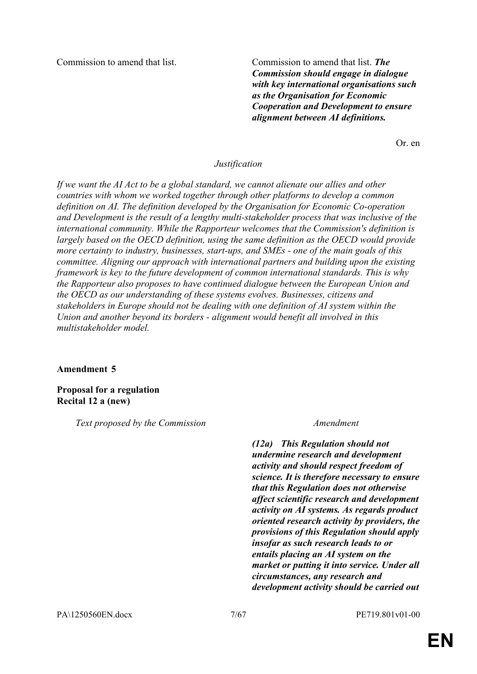Commission to amend that list. Commission to amend that list. *The Commission should engage in dialogue with key international organisations such as the Organisation for Economic Cooperation and Development to ensure alignment between AI definitions.*

Or. en

### *Justification*

*If we want the AI Act to be a global standard, we cannot alienate our allies and other countries with whom we worked together through other platforms to develop a common definition on AI. The definition developed by the Organisation for Economic Co-operation and Development is the result of a lengthy multi-stakeholder process that was inclusive of the international community. While the Rapporteur welcomes that the Commission's definition is largely based on the OECD definition, using the same definition as the OECD would provide more certainty to industry, businesses, start-ups, and SMEs - one of the main goals of this committee. Aligning our approach with international partners and building upon the existing framework is key to the future development of common international standards. This is why the Rapporteur also proposes to have continued dialogue between the European Union and the OECD as our understanding of these systems evolves. Businesses, citizens and stakeholders in Europe should not be dealing with one definition of AI system within the Union and another beyond its borders - alignment would benefit all involved in this multistakeholder model.*

### **Amendment 5**

**Proposal for a regulation Recital 12 a (new)**

*Text proposed by the Commission Amendment*

*(12a) This Regulation should not undermine research and development activity and should respect freedom of science. It is therefore necessary to ensure that this Regulation does not otherwise affect scientific research and development activity on AI systems. As regards product oriented research activity by providers, the provisions of this Regulation should apply insofar as such research leads to or entails placing an AI system on the market or putting it into service. Under all circumstances, any research and development activity should be carried out*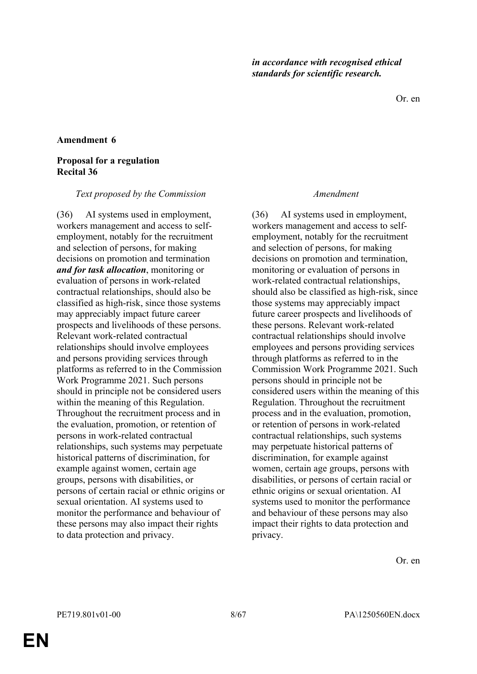Or. en

### **Amendment 6**

### **Proposal for a regulation Recital 36**

#### *Text proposed by the Commission Amendment*

(36) AI systems used in employment, workers management and access to selfemployment, notably for the recruitment and selection of persons, for making decisions on promotion and termination *and for task allocation*, monitoring or evaluation of persons in work-related contractual relationships, should also be classified as high-risk, since those systems may appreciably impact future career prospects and livelihoods of these persons. Relevant work-related contractual relationships should involve employees and persons providing services through platforms as referred to in the Commission Work Programme 2021. Such persons should in principle not be considered users within the meaning of this Regulation. Throughout the recruitment process and in the evaluation, promotion, or retention of persons in work-related contractual relationships, such systems may perpetuate historical patterns of discrimination, for example against women, certain age groups, persons with disabilities, or persons of certain racial or ethnic origins or sexual orientation. AI systems used to monitor the performance and behaviour of these persons may also impact their rights to data protection and privacy.

(36) AI systems used in employment, workers management and access to selfemployment, notably for the recruitment and selection of persons, for making decisions on promotion and termination, monitoring or evaluation of persons in work-related contractual relationships, should also be classified as high-risk, since those systems may appreciably impact future career prospects and livelihoods of these persons. Relevant work-related contractual relationships should involve employees and persons providing services through platforms as referred to in the Commission Work Programme 2021. Such persons should in principle not be considered users within the meaning of this Regulation. Throughout the recruitment process and in the evaluation, promotion, or retention of persons in work-related contractual relationships, such systems may perpetuate historical patterns of discrimination, for example against women, certain age groups, persons with disabilities, or persons of certain racial or ethnic origins or sexual orientation. AI systems used to monitor the performance and behaviour of these persons may also impact their rights to data protection and privacy.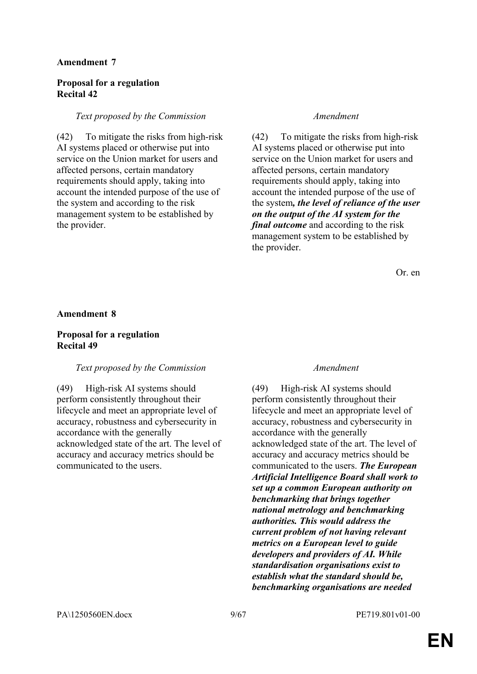# **Proposal for a regulation Recital 42**

# *Text proposed by the Commission Amendment*

(42) To mitigate the risks from high-risk AI systems placed or otherwise put into service on the Union market for users and affected persons, certain mandatory requirements should apply, taking into account the intended purpose of the use of the system and according to the risk management system to be established by the provider.

(42) To mitigate the risks from high-risk AI systems placed or otherwise put into service on the Union market for users and affected persons, certain mandatory requirements should apply, taking into account the intended purpose of the use of the system*, the level of reliance of the user on the output of the AI system for the final outcome* and according to the risk management system to be established by the provider.

Or. en

### **Amendment 8**

# **Proposal for a regulation Recital 49**

# *Text proposed by the Commission Amendment*

(49) High-risk AI systems should perform consistently throughout their lifecycle and meet an appropriate level of accuracy, robustness and cybersecurity in accordance with the generally acknowledged state of the art. The level of accuracy and accuracy metrics should be communicated to the users.

(49) High-risk AI systems should perform consistently throughout their lifecycle and meet an appropriate level of accuracy, robustness and cybersecurity in accordance with the generally acknowledged state of the art. The level of accuracy and accuracy metrics should be communicated to the users. *The European Artificial Intelligence Board shall work to set up a common European authority on benchmarking that brings together national metrology and benchmarking authorities. This would address the current problem of not having relevant metrics on a European level to guide developers and providers of AI. While standardisation organisations exist to establish what the standard should be, benchmarking organisations are needed*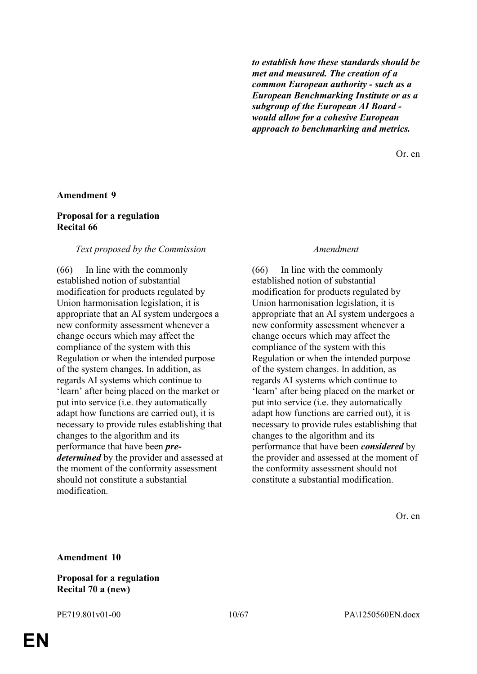*to establish how these standards should be met and measured. The creation of a common European authority - such as a European Benchmarking Institute or as a subgroup of the European AI Board would allow for a cohesive European approach to benchmarking and metrics.*

Or. en

#### **Amendment 9**

### **Proposal for a regulation Recital 66**

#### *Text proposed by the Commission Amendment*

(66) In line with the commonly established notion of substantial modification for products regulated by Union harmonisation legislation, it is appropriate that an AI system undergoes a new conformity assessment whenever a change occurs which may affect the compliance of the system with this Regulation or when the intended purpose of the system changes. In addition, as regards AI systems which continue to 'learn' after being placed on the market or put into service (i.e. they automatically adapt how functions are carried out), it is necessary to provide rules establishing that changes to the algorithm and its performance that have been *predetermined* by the provider and assessed at the moment of the conformity assessment should not constitute a substantial modification.

(66) In line with the commonly established notion of substantial modification for products regulated by Union harmonisation legislation, it is appropriate that an AI system undergoes a new conformity assessment whenever a change occurs which may affect the compliance of the system with this Regulation or when the intended purpose of the system changes. In addition, as regards AI systems which continue to 'learn' after being placed on the market or put into service (i.e. they automatically adapt how functions are carried out), it is necessary to provide rules establishing that changes to the algorithm and its performance that have been *considered* by the provider and assessed at the moment of the conformity assessment should not constitute a substantial modification.

Or. en

#### **Amendment 10**

### **Proposal for a regulation Recital 70 a (new)**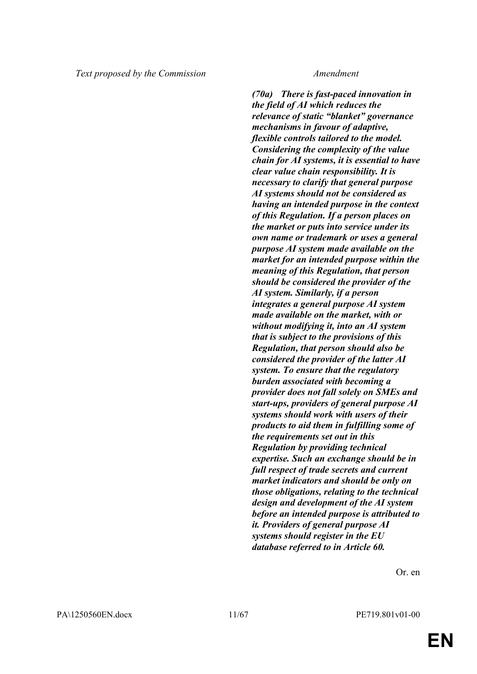*(70a) There is fast-paced innovation in the field of AI which reduces the relevance of static "blanket" governance mechanisms in favour of adaptive, flexible controls tailored to the model. Considering the complexity of the value chain for AI systems, it is essential to have clear value chain responsibility. It is necessary to clarify that general purpose AI systems should not be considered as having an intended purpose in the context of this Regulation. If a person places on the market or puts into service under its own name or trademark or uses a general purpose AI system made available on the market for an intended purpose within the meaning of this Regulation, that person should be considered the provider of the AI system. Similarly, if a person integrates a general purpose AI system made available on the market, with or without modifying it, into an AI system that is subject to the provisions of this Regulation, that person should also be considered the provider of the latter AI system. To ensure that the regulatory burden associated with becoming a provider does not fall solely on SMEs and start-ups, providers of general purpose AI systems should work with users of their products to aid them in fulfilling some of the requirements set out in this Regulation by providing technical expertise. Such an exchange should be in full respect of trade secrets and current market indicators and should be only on those obligations, relating to the technical design and development of the AI system before an intended purpose is attributed to it. Providers of general purpose AI systems should register in the EU database referred to in Article 60.*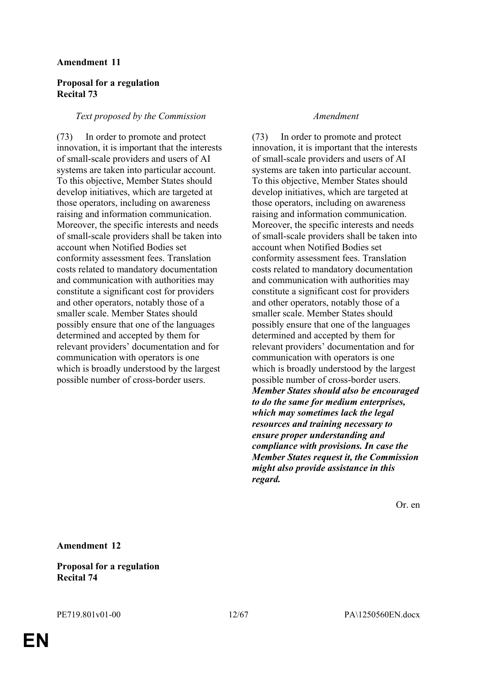# **Proposal for a regulation Recital 73**

### *Text proposed by the Commission Amendment*

(73) In order to promote and protect innovation, it is important that the interests of small-scale providers and users of AI systems are taken into particular account. To this objective, Member States should develop initiatives, which are targeted at those operators, including on awareness raising and information communication. Moreover, the specific interests and needs of small-scale providers shall be taken into account when Notified Bodies set conformity assessment fees. Translation costs related to mandatory documentation and communication with authorities may constitute a significant cost for providers and other operators, notably those of a smaller scale. Member States should possibly ensure that one of the languages determined and accepted by them for relevant providers' documentation and for communication with operators is one which is broadly understood by the largest possible number of cross-border users.

(73) In order to promote and protect innovation, it is important that the interests of small-scale providers and users of AI systems are taken into particular account. To this objective, Member States should develop initiatives, which are targeted at those operators, including on awareness raising and information communication. Moreover, the specific interests and needs of small-scale providers shall be taken into account when Notified Bodies set conformity assessment fees. Translation costs related to mandatory documentation and communication with authorities may constitute a significant cost for providers and other operators, notably those of a smaller scale. Member States should possibly ensure that one of the languages determined and accepted by them for relevant providers' documentation and for communication with operators is one which is broadly understood by the largest possible number of cross-border users. *Member States should also be encouraged to do the same for medium enterprises, which may sometimes lack the legal resources and training necessary to ensure proper understanding and compliance with provisions. In case the Member States request it, the Commission might also provide assistance in this regard.*

Or. en

**Amendment 12**

**Proposal for a regulation Recital 74**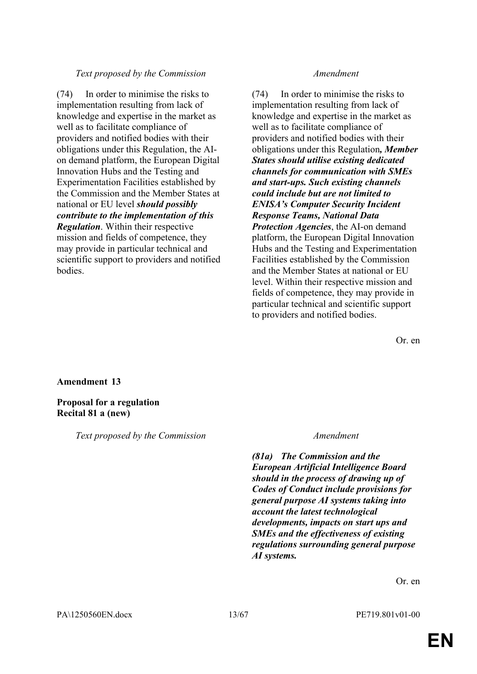# *Text proposed by the Commission Amendment*

(74) In order to minimise the risks to implementation resulting from lack of knowledge and expertise in the market as well as to facilitate compliance of providers and notified bodies with their obligations under this Regulation, the AIon demand platform, the European Digital Innovation Hubs and the Testing and Experimentation Facilities established by the Commission and the Member States at national or EU level *should possibly contribute to the implementation of this Regulation*. Within their respective mission and fields of competence, they may provide in particular technical and scientific support to providers and notified bodies.

(74) In order to minimise the risks to implementation resulting from lack of knowledge and expertise in the market as well as to facilitate compliance of providers and notified bodies with their obligations under this Regulation*, Member States should utilise existing dedicated channels for communication with SMEs and start-ups. Such existing channels could include but are not limited to ENISA's Computer Security Incident Response Teams, National Data Protection Agencies*, the AI-on demand platform, the European Digital Innovation Hubs and the Testing and Experimentation Facilities established by the Commission and the Member States at national or EU level. Within their respective mission and fields of competence, they may provide in particular technical and scientific support to providers and notified bodies.

Or. en

# **Amendment 13**

# **Proposal for a regulation Recital 81 a (new)**

*Text proposed by the Commission Amendment*

*(81a) The Commission and the European Artificial Intelligence Board should in the process of drawing up of Codes of Conduct include provisions for general purpose AI systems taking into account the latest technological developments, impacts on start ups and SMEs and the effectiveness of existing regulations surrounding general purpose AI systems.*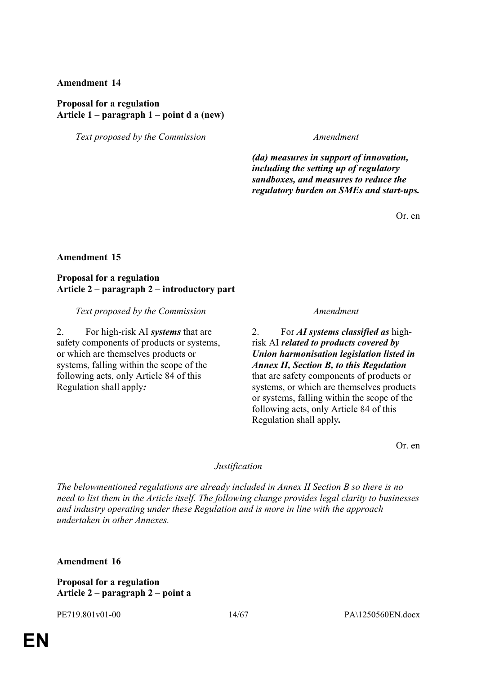# **Proposal for a regulation Article 1 – paragraph 1 – point d a (new)**

*Text proposed by the Commission Amendment*

*(da) measures in support of innovation, including the setting up of regulatory sandboxes, and measures to reduce the regulatory burden on SMEs and start-ups.*

Or. en

# **Amendment 15**

# **Proposal for a regulation Article 2 – paragraph 2 – introductory part**

*Text proposed by the Commission Amendment*

2. For high-risk AI *systems* that are safety components of products or systems, or which are themselves products or systems, falling within the scope of the following acts, only Article 84 of this Regulation shall apply*:*

2. For *AI systems classified as* highrisk AI *related to products covered by Union harmonisation legislation listed in Annex II, Section B, to this Regulation* that are safety components of products or systems, or which are themselves products or systems, falling within the scope of the following acts, only Article 84 of this Regulation shall apply*.*

Or. en

# *Justification*

*The belowmentioned regulations are already included in Annex II Section B so there is no need to list them in the Article itself. The following change provides legal clarity to businesses and industry operating under these Regulation and is more in line with the approach undertaken in other Annexes.*

**Amendment 16**

# **Proposal for a regulation Article 2 – paragraph 2 – point a**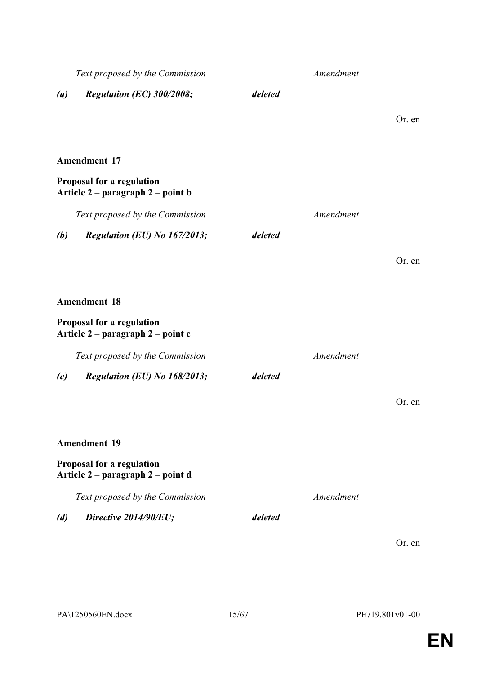| Text proposed by the Commission |                                                                |         | Amendment |        |
|---------------------------------|----------------------------------------------------------------|---------|-----------|--------|
| $\left( a\right)$               | Regulation (EC) 300/2008;                                      | deleted |           |        |
|                                 |                                                                |         |           | Or. en |
|                                 | <b>Amendment 17</b>                                            |         |           |        |
|                                 | Proposal for a regulation<br>Article 2 – paragraph 2 – point b |         |           |        |
|                                 | Text proposed by the Commission                                |         | Amendment |        |
| (b)                             | Regulation (EU) No 167/2013;                                   | deleted |           |        |
|                                 |                                                                |         |           | Or. en |
|                                 | <b>Amendment 18</b>                                            |         |           |        |
|                                 | Proposal for a regulation<br>Article 2 – paragraph 2 – point c |         |           |        |
|                                 | Text proposed by the Commission                                |         | Amendment |        |
| (c)                             | Regulation (EU) No 168/2013;                                   | deleted |           |        |
|                                 |                                                                |         |           | Or. en |
|                                 | <b>Amendment 19</b>                                            |         |           |        |
|                                 | Proposal for a regulation<br>Article 2 – paragraph 2 – point d |         |           |        |
|                                 | Text proposed by the Commission                                |         | Amendment |        |
| (d)                             | Directive 2014/90/EU;                                          | deleted |           |        |
|                                 |                                                                |         |           | Or. en |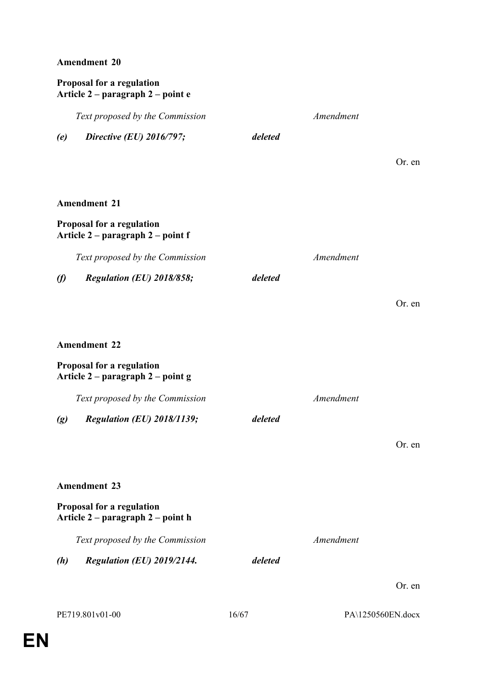# **Proposal for a regulation Article 2 – paragraph 2 – point e**

*Text proposed by the Commission Amendment*

*(e) Directive (EU) 2016/797; deleted*

Or. en

Or. en

# **Amendment 21**

# **Proposal for a regulation Article 2 – paragraph 2 – point f**

*Text proposed by the Commission Amendment*

- *(f) Regulation (EU) 2018/858; deleted*
- **Amendment 22**

# **Proposal for a regulation Article 2 – paragraph 2 – point g**

| Text proposed by the Commission | Amendment |
|---------------------------------|-----------|
|                                 |           |

*(g) Regulation (EU) 2018/1139; deleted*

Or. en

# **Amendment 23**

# **Proposal for a regulation Article 2 – paragraph 2 – point h**

*Text proposed by the Commission Amendment*

*(h) Regulation (EU) 2019/2144. deleted*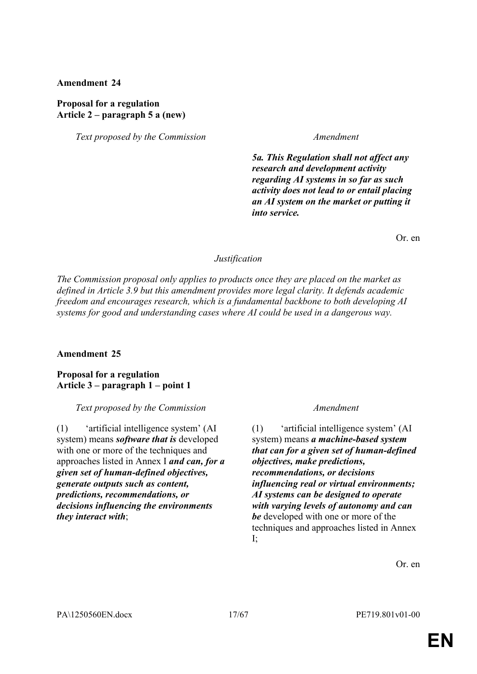# **Proposal for a regulation Article 2 – paragraph 5 a (new)**

*Text proposed by the Commission Amendment*

*5a. This Regulation shall not affect any research and development activity regarding AI systems in so far as such activity does not lead to or entail placing an AI system on the market or putting it into service.*

Or. en

# *Justification*

*The Commission proposal only applies to products once they are placed on the market as defined in Article 3.9 but this amendment provides more legal clarity. It defends academic freedom and encourages research, which is a fundamental backbone to both developing AI systems for good and understanding cases where AI could be used in a dangerous way.*

# **Amendment 25**

# **Proposal for a regulation Article 3 – paragraph 1 – point 1**

# *Text proposed by the Commission Amendment*

(1) 'artificial intelligence system' (AI system) means *software that is* developed with one or more of the techniques and approaches listed in Annex I *and can, for a given set of human-defined objectives, generate outputs such as content, predictions, recommendations, or decisions influencing the environments they interact with*;

(1) 'artificial intelligence system' (AI system) means *a machine-based system that can for a given set of human-defined objectives, make predictions, recommendations, or decisions influencing real or virtual environments; AI systems can be designed to operate with varying levels of autonomy and can be* developed with one or more of the techniques and approaches listed in Annex I;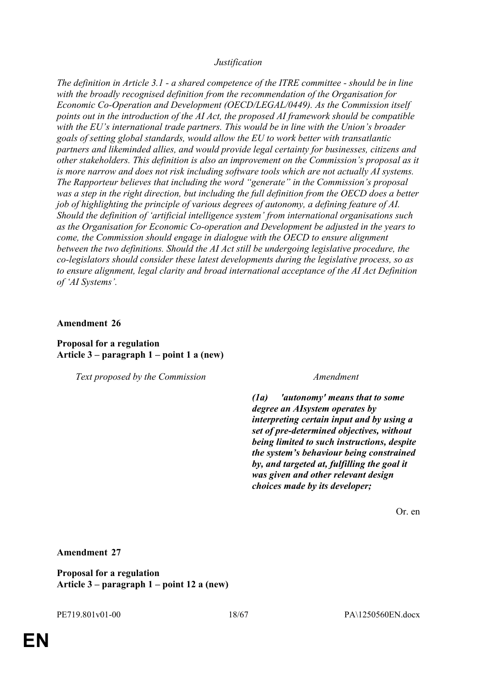# *Justification*

*The definition in Article 3.1 - a shared competence of the ITRE committee - should be in line with the broadly recognised definition from the recommendation of the Organisation for Economic Co-Operation and Development (OECD/LEGAL/0449). As the Commission itself points out in the introduction of the AI Act, the proposed AI framework should be compatible with the EU's international trade partners. This would be in line with the Union's broader goals of setting global standards, would allow the EU to work better with transatlantic partners and likeminded allies, and would provide legal certainty for businesses, citizens and other stakeholders. This definition is also an improvement on the Commission's proposal as it is more narrow and does not risk including software tools which are not actually AI systems. The Rapporteur believes that including the word "generate" in the Commission's proposal was a step in the right direction, but including the full definition from the OECD does a better job of highlighting the principle of various degrees of autonomy, a defining feature of AI. Should the definition of 'artificial intelligence system' from international organisations such as the Organisation for Economic Co-operation and Development be adjusted in the years to come, the Commission should engage in dialogue with the OECD to ensure alignment between the two definitions. Should the AI Act still be undergoing legislative procedure, the co-legislators should consider these latest developments during the legislative process, so as to ensure alignment, legal clarity and broad international acceptance of the AI Act Definition of 'AI Systems'.*

### **Amendment 26**

# **Proposal for a regulation Article 3 – paragraph 1 – point 1 a (new)**

*Text proposed by the Commission Amendment*

*(1a) 'autonomy' means that to some degree an AIsystem operates by interpreting certain input and by using a set of pre-determined objectives, without being limited to such instructions, despite the system's behaviour being constrained by, and targeted at, fulfilling the goal it was given and other relevant design choices made by its developer;*

Or. en

# **Amendment 27**

**Proposal for a regulation Article 3 – paragraph 1 – point 12 a (new)**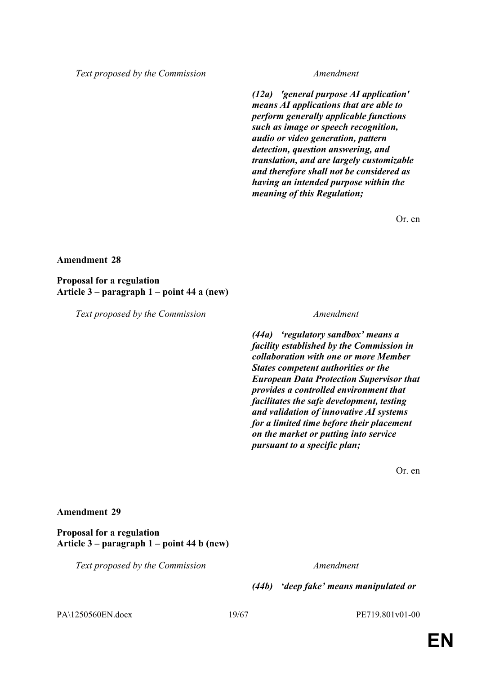*Text proposed by the Commission Amendment*

*(12a) 'general purpose AI application' means AI applications that are able to perform generally applicable functions such as image or speech recognition, audio or video generation, pattern detection, question answering, and translation, and are largely customizable and therefore shall not be considered as having an intended purpose within the meaning of this Regulation;* 

Or. en

### **Amendment 28**

**Proposal for a regulation Article 3 – paragraph 1 – point 44 a (new)**

*Text proposed by the Commission Amendment*

*(44a) 'regulatory sandbox' means a facility established by the Commission in collaboration with one or more Member States competent authorities or the European Data Protection Supervisor that provides a controlled environment that facilitates the safe development, testing and validation of innovative AI systems for a limited time before their placement on the market or putting into service pursuant to a specific plan;*

Or. en

### **Amendment 29**

**Proposal for a regulation Article 3 – paragraph 1 – point 44 b (new)**

*Text proposed by the Commission Amendment*

*(44b) 'deep fake' means manipulated or* 

PA\1250560EN.docx 19/67 PE719.801v01-00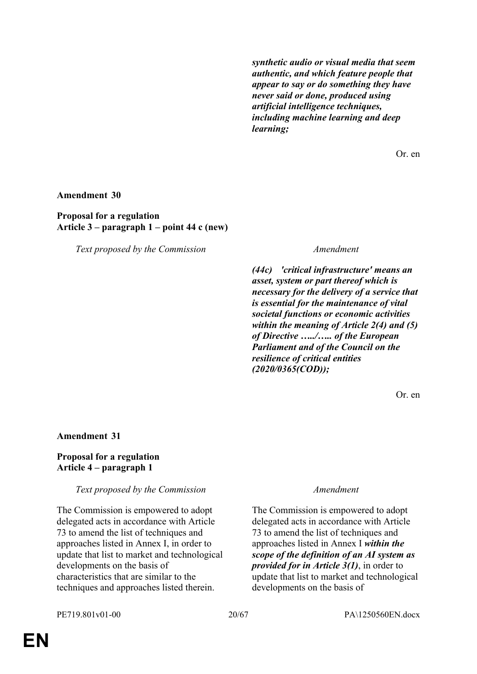*synthetic audio or visual media that seem authentic, and which feature people that appear to say or do something they have never said or done, produced using artificial intelligence techniques, including machine learning and deep learning;*

Or. en

### **Amendment 30**

# **Proposal for a regulation Article 3 – paragraph 1 – point 44 c (new)**

*Text proposed by the Commission Amendment*

*(44c) 'critical infrastructure' means an asset, system or part thereof which is necessary for the delivery of a service that is essential for the maintenance of vital societal functions or economic activities within the meaning of Article 2(4) and (5) of Directive …../….. of the European Parliament and of the Council on the resilience of critical entities (2020/0365(COD));*

Or. en

### **Amendment 31**

# **Proposal for a regulation Article 4 – paragraph 1**

*Text proposed by the Commission Amendment*

The Commission is empowered to adopt delegated acts in accordance with Article 73 to amend the list of techniques and approaches listed in Annex I, in order to update that list to market and technological developments on the basis of characteristics that are similar to the techniques and approaches listed therein.

The Commission is empowered to adopt delegated acts in accordance with Article 73 to amend the list of techniques and approaches listed in Annex I *within the scope of the definition of an AI system as provided for in Article 3(1)*, in order to update that list to market and technological developments on the basis of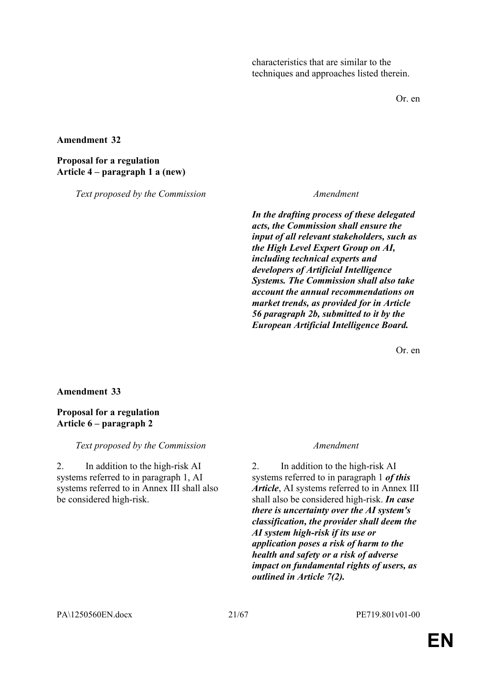characteristics that are similar to the techniques and approaches listed therein.

Or. en

### **Amendment 32**

# **Proposal for a regulation Article 4 – paragraph 1 a (new)**

*Text proposed by the Commission Amendment*

*In the drafting process of these delegated acts, the Commission shall ensure the input of all relevant stakeholders, such as the High Level Expert Group on AI, including technical experts and developers of Artificial Intelligence Systems. The Commission shall also take account the annual recommendations on market trends, as provided for in Article 56 paragraph 2b, submitted to it by the European Artificial Intelligence Board.*

Or. en

# **Amendment 33**

# **Proposal for a regulation Article 6 – paragraph 2**

*Text proposed by the Commission Amendment*

2. In addition to the high-risk AI systems referred to in paragraph 1, AI systems referred to in Annex III shall also be considered high-risk.

2. In addition to the high-risk AI systems referred to in paragraph 1 *of this Article*, AI systems referred to in Annex III shall also be considered high-risk. *In case there is uncertainty over the AI system's classification, the provider shall deem the AI system high-risk if its use or application poses a risk of harm to the health and safety or a risk of adverse impact on fundamental rights of users, as outlined in Article 7(2).*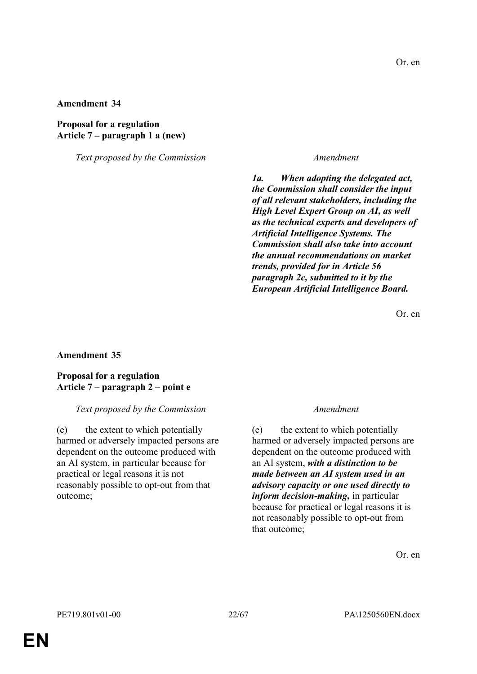# **Proposal for a regulation Article 7 – paragraph 1 a (new)**

*Text proposed by the Commission Amendment*

*1a. When adopting the delegated act, the Commission shall consider the input of all relevant stakeholders, including the High Level Expert Group on AI, as well as the technical experts and developers of Artificial Intelligence Systems. The Commission shall also take into account the annual recommendations on market trends, provided for in Article 56 paragraph 2c, submitted to it by the European Artificial Intelligence Board.*

Or. en

### **Amendment 35**

### **Proposal for a regulation Article 7 – paragraph 2 – point e**

### *Text proposed by the Commission Amendment*

(e) the extent to which potentially harmed or adversely impacted persons are dependent on the outcome produced with an AI system, in particular because for practical or legal reasons it is not reasonably possible to opt-out from that outcome;

(e) the extent to which potentially harmed or adversely impacted persons are dependent on the outcome produced with an AI system, *with a distinction to be made between an AI system used in an advisory capacity or one used directly to inform decision-making,* in particular because for practical or legal reasons it is not reasonably possible to opt-out from that outcome;

Or. en

**EN**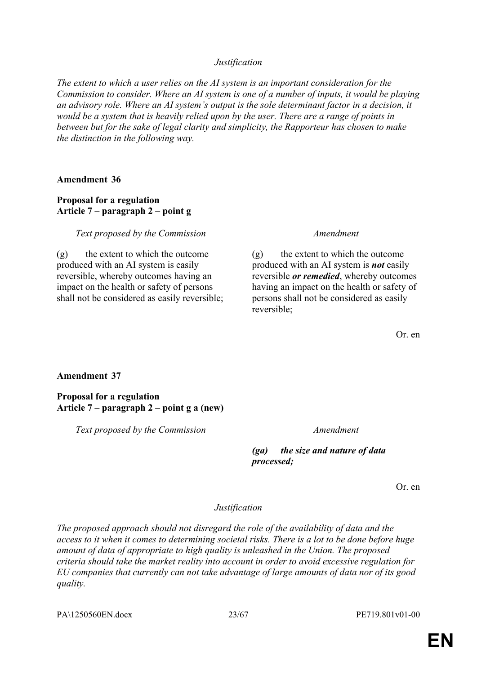*Justification*

*The extent to which a user relies on the AI system is an important consideration for the Commission to consider. Where an AI system is one of a number of inputs, it would be playing an advisory role. Where an AI system's output is the sole determinant factor in a decision, it would be a system that is heavily relied upon by the user. There are a range of points in between but for the sake of legal clarity and simplicity, the Rapporteur has chosen to make the distinction in the following way.*

**Amendment 36**

# **Proposal for a regulation Article 7 – paragraph 2 – point g**

*Text proposed by the Commission Amendment*

 $(g)$  the extent to which the outcome produced with an AI system is easily reversible, whereby outcomes having an impact on the health or safety of persons shall not be considered as easily reversible;

(g) the extent to which the outcome produced with an AI system is *not* easily reversible *or remedied*, whereby outcomes having an impact on the health or safety of persons shall not be considered as easily reversible;

Or. en

# **Amendment 37**

**Proposal for a regulation Article 7 – paragraph 2 – point g a (new)**

*Text proposed by the Commission Amendment*

*(ga) the size and nature of data processed;*

Or. en

# *Justification*

*The proposed approach should not disregard the role of the availability of data and the access to it when it comes to determining societal risks. There is a lot to be done before huge amount of data of appropriate to high quality is unleashed in the Union. The proposed criteria should take the market reality into account in order to avoid excessive regulation for EU companies that currently can not take advantage of large amounts of data nor of its good quality.*

PA\1250560EN.docx 23/67 PE719.801v01-00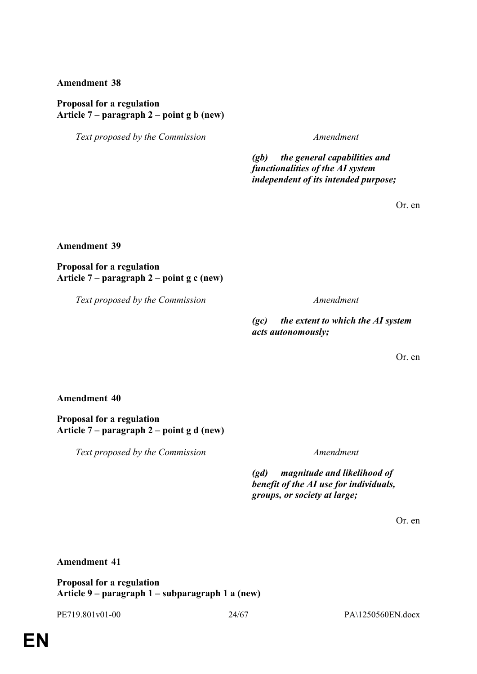# **Proposal for a regulation Article 7 – paragraph 2 – point g b (new)**

*Text proposed by the Commission Amendment*

*(gb) the general capabilities and functionalities of the AI system independent of its intended purpose;*

Or. en

**Amendment 39**

**Proposal for a regulation Article 7 – paragraph 2 – point g c (new)**

*Text proposed by the Commission Amendment*

*(gc) the extent to which the AI system acts autonomously;*

Or. en

### **Amendment 40**

**Proposal for a regulation Article 7 – paragraph 2 – point g d (new)**

*Text proposed by the Commission Amendment*

*(gd) magnitude and likelihood of benefit of the AI use for individuals, groups, or society at large;*

Or. en

# **Amendment 41**

**Proposal for a regulation Article 9 – paragraph 1 – subparagraph 1 a (new)**

PE719.801v01-00 24/67 PA\1250560EN.docx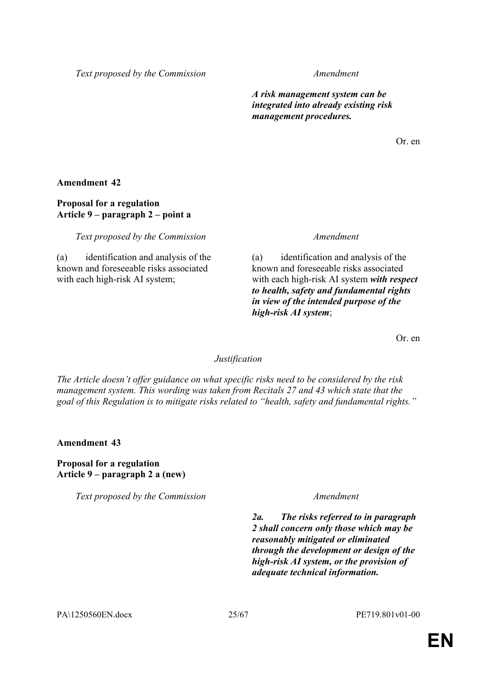*Text proposed by the Commission Amendment*

*A risk management system can be integrated into already existing risk management procedures.*

Or. en

**Amendment 42**

# **Proposal for a regulation Article 9 – paragraph 2 – point a**

*Text proposed by the Commission Amendment*

(a) identification and analysis of the known and foreseeable risks associated with each high-risk AI system;

(a) identification and analysis of the known and foreseeable risks associated with each high-risk AI system *with respect to health, safety and fundamental rights in view of the intended purpose of the high-risk AI system*;

Or. en

# *Justification*

*The Article doesn't offer guidance on what specific risks need to be considered by the risk management system. This wording was taken from Recitals 27 and 43 which state that the goal of this Regulation is to mitigate risks related to "health, safety and fundamental rights."*

**Amendment 43**

**Proposal for a regulation Article 9 – paragraph 2 a (new)**

*Text proposed by the Commission Amendment*

*2a. The risks referred to in paragraph 2 shall concern only those which may be reasonably mitigated or eliminated through the development or design of the high-risk AI system, or the provision of adequate technical information.*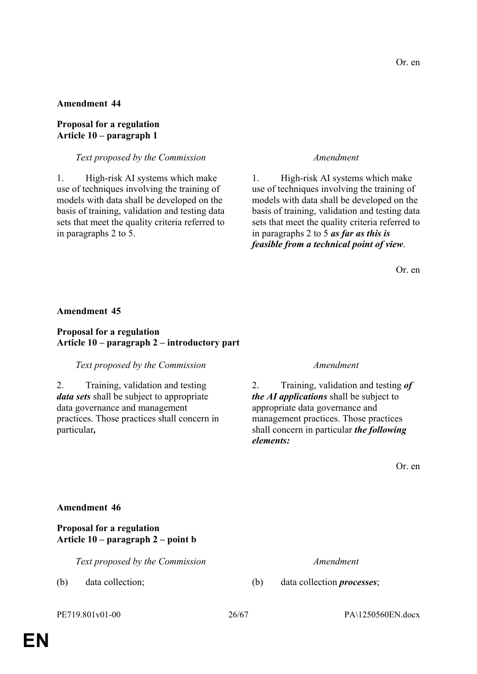# **Proposal for a regulation Article 10 – paragraph 1**

# *Text proposed by the Commission Amendment*

1. High-risk AI systems which make use of techniques involving the training of models with data shall be developed on the basis of training, validation and testing data sets that meet the quality criteria referred to in paragraphs 2 to 5.

1. High-risk AI systems which make use of techniques involving the training of models with data shall be developed on the basis of training, validation and testing data sets that meet the quality criteria referred to in paragraphs 2 to 5 *as far as this is feasible from a technical point of view*.

Or. en

### **Amendment 45**

# **Proposal for a regulation Article 10 – paragraph 2 – introductory part**

### *Text proposed by the Commission Amendment*

2. Training, validation and testing *data sets* shall be subject to appropriate data governance and management practices. Those practices shall concern in particular*,*

2. Training, validation and testing *of the AI applications* shall be subject to appropriate data governance and management practices. Those practices shall concern in particular *the following elements:*

Or. en

### **Amendment 46**

# **Proposal for a regulation Article 10 – paragraph 2 – point b**

*Text proposed by the Commission Amendment*

PE719.801v01-00 26/67 PA\1250560EN.docx

(b) data collection; (b) data collection *processes*;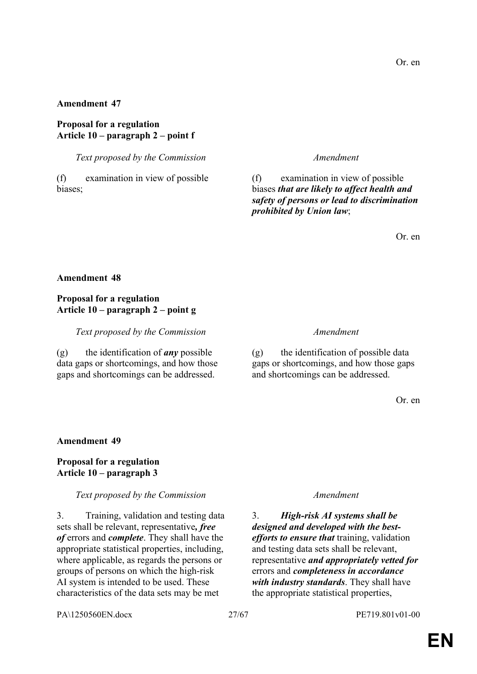# **Proposal for a regulation Article 10 – paragraph 2 – point f**

*Text proposed by the Commission Amendment*

(f) examination in view of possible biases;

(f) examination in view of possible biases *that are likely to affect health and safety of persons or lead to discrimination prohibited by Union law*;

Or. en

# **Amendment 48**

# **Proposal for a regulation Article 10 – paragraph 2 – point g**

*Text proposed by the Commission Amendment*

(g) the identification of *any* possible data gaps or shortcomings, and how those gaps and shortcomings can be addressed.

(g) the identification of possible data gaps or shortcomings, and how those gaps and shortcomings can be addressed.

Or. en

# **Amendment 49**

# **Proposal for a regulation Article 10 – paragraph 3**

# *Text proposed by the Commission Amendment*

3. Training, validation and testing data sets shall be relevant, representative*, free of* errors and *complete*. They shall have the appropriate statistical properties, including, where applicable, as regards the persons or groups of persons on which the high-risk AI system is intended to be used. These characteristics of the data sets may be met

3. *High-risk AI systems shall be designed and developed with the bestefforts to ensure that* training, validation and testing data sets shall be relevant, representative *and appropriately vetted for* errors and *completeness in accordance with industry standards*. They shall have the appropriate statistical properties,

PA\1250560EN.docx 27/67 PE719.801v01-00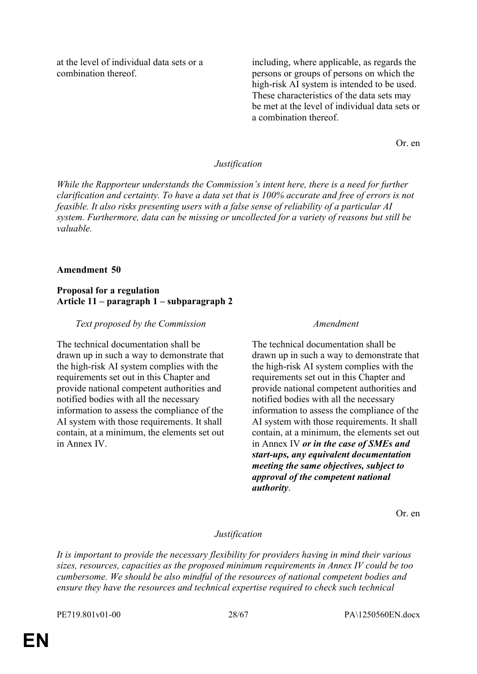at the level of individual data sets or a combination thereof.

including, where applicable, as regards the persons or groups of persons on which the high-risk AI system is intended to be used. These characteristics of the data sets may be met at the level of individual data sets or a combination thereof.

Or. en

### *Justification*

*While the Rapporteur understands the Commission's intent here, there is a need for further clarification and certainty. To have a data set that is 100% accurate and free of errors is not feasible. It also risks presenting users with a false sense of reliability of a particular AI system. Furthermore, data can be missing or uncollected for a variety of reasons but still be valuable.*

### **Amendment 50**

### **Proposal for a regulation Article 11 – paragraph 1 – subparagraph 2**

### *Text proposed by the Commission Amendment*

The technical documentation shall be drawn up in such a way to demonstrate that the high-risk AI system complies with the requirements set out in this Chapter and provide national competent authorities and notified bodies with all the necessary information to assess the compliance of the AI system with those requirements. It shall contain, at a minimum, the elements set out in Annex IV.

The technical documentation shall be drawn up in such a way to demonstrate that the high-risk AI system complies with the requirements set out in this Chapter and provide national competent authorities and notified bodies with all the necessary information to assess the compliance of the AI system with those requirements. It shall contain, at a minimum, the elements set out in Annex IV *or in the case of SMEs and start-ups, any equivalent documentation meeting the same objectives, subject to approval of the competent national authority*.

Or. en

#### *Justification*

*It is important to provide the necessary flexibility for providers having in mind their various sizes, resources, capacities as the proposed minimum requirements in Annex IV could be too cumbersome. We should be also mindful of the resources of national competent bodies and ensure they have the resources and technical expertise required to check such technical*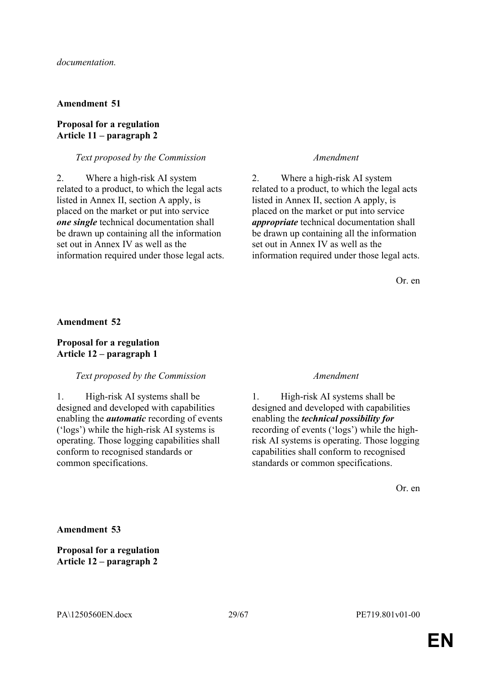# **Proposal for a regulation Article 11 – paragraph 2**

# *Text proposed by the Commission Amendment*

2. Where a high-risk AI system related to a product, to which the legal acts listed in Annex II, section A apply, is placed on the market or put into service *one single* technical documentation shall be drawn up containing all the information set out in Annex IV as well as the information required under those legal acts.

2. Where a high-risk AI system related to a product, to which the legal acts listed in Annex II, section A apply, is placed on the market or put into service *appropriate* technical documentation shall be drawn up containing all the information set out in Annex IV as well as the information required under those legal acts.

Or. en

# **Amendment 52**

# **Proposal for a regulation Article 12 – paragraph 1**

# *Text proposed by the Commission Amendment*

1. High-risk AI systems shall be designed and developed with capabilities enabling the *automatic* recording of events ('logs') while the high-risk AI systems is operating. Those logging capabilities shall conform to recognised standards or common specifications.

1. High-risk AI systems shall be designed and developed with capabilities enabling the *technical possibility for* recording of events ('logs') while the highrisk AI systems is operating. Those logging capabilities shall conform to recognised standards or common specifications.

Or. en

**Amendment 53**

**Proposal for a regulation Article 12 – paragraph 2**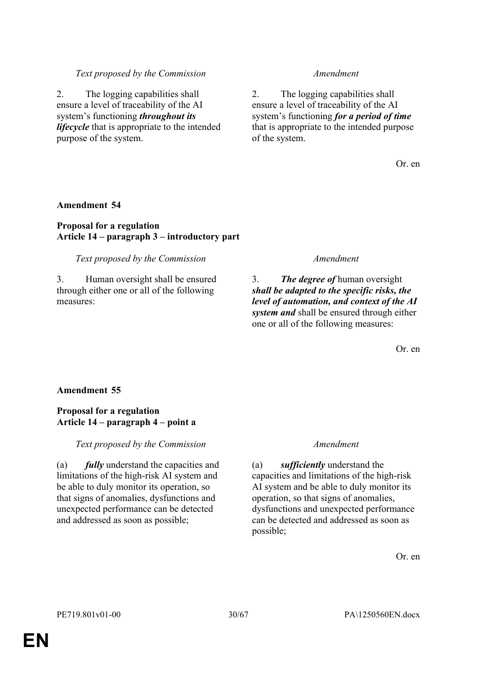# *Text proposed by the Commission Amendment*

2. The logging capabilities shall ensure a level of traceability of the AI system's functioning *throughout its lifecycle* that is appropriate to the intended purpose of the system.

2. The logging capabilities shall ensure a level of traceability of the AI system's functioning *for a period of time* that is appropriate to the intended purpose of the system.

Or. en

# **Amendment 54**

# **Proposal for a regulation Article 14 – paragraph 3 – introductory part**

*Text proposed by the Commission Amendment*

3. Human oversight shall be ensured through either one or all of the following measures:

3. *The degree of* human oversight *shall be adapted to the specific risks, the level of automation, and context of the AI system and* shall be ensured through either one or all of the following measures:

Or. en

# **Amendment 55**

# **Proposal for a regulation Article 14 – paragraph 4 – point a**

*Text proposed by the Commission Amendment*

(a) *fully* understand the capacities and limitations of the high-risk AI system and be able to duly monitor its operation, so that signs of anomalies, dysfunctions and unexpected performance can be detected and addressed as soon as possible;

(a) *sufficiently* understand the capacities and limitations of the high-risk AI system and be able to duly monitor its operation, so that signs of anomalies, dysfunctions and unexpected performance can be detected and addressed as soon as possible;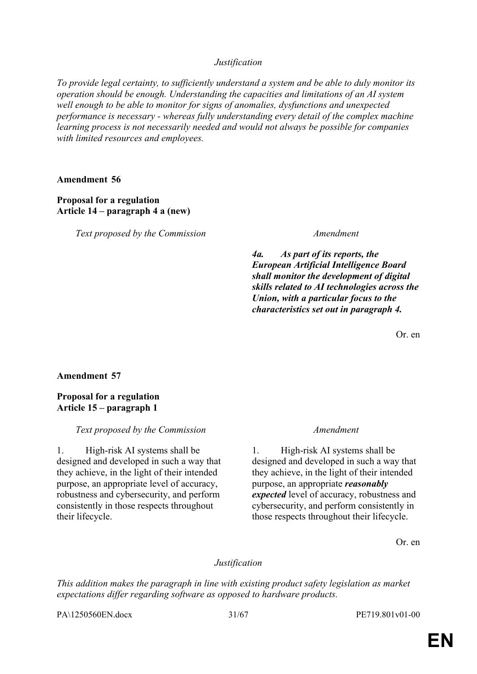*Justification*

*To provide legal certainty, to sufficiently understand a system and be able to duly monitor its operation should be enough. Understanding the capacities and limitations of an AI system well enough to be able to monitor for signs of anomalies, dysfunctions and unexpected performance is necessary - whereas fully understanding every detail of the complex machine learning process is not necessarily needed and would not always be possible for companies with limited resources and employees.*

# **Amendment 56**

# **Proposal for a regulation Article 14 – paragraph 4 a (new)**

*Text proposed by the Commission Amendment*

*4a. As part of its reports, the European Artificial Intelligence Board shall monitor the development of digital skills related to AI technologies across the Union, with a particular focus to the characteristics set out in paragraph 4.*

Or. en

# **Amendment 57**

# **Proposal for a regulation Article 15 – paragraph 1**

# *Text proposed by the Commission Amendment*

1. High-risk AI systems shall be designed and developed in such a way that they achieve, in the light of their intended purpose, an appropriate level of accuracy, robustness and cybersecurity, and perform consistently in those respects throughout their lifecycle.

1. High-risk AI systems shall be designed and developed in such a way that they achieve, in the light of their intended purpose, an appropriate *reasonably expected* level of accuracy, robustness and cybersecurity, and perform consistently in those respects throughout their lifecycle.

Or. en

# *Justification*

*This addition makes the paragraph in line with existing product safety legislation as market expectations differ regarding software as opposed to hardware products.*

PA\1250560EN.docx 31/67 PE719.801v01-00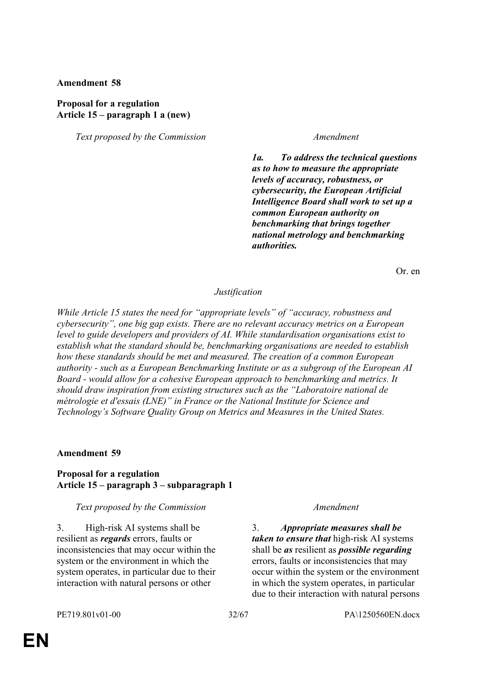# **Proposal for a regulation Article 15 – paragraph 1 a (new)**

*Text proposed by the Commission Amendment*

*1a. To address the technical questions as to how to measure the appropriate levels of accuracy, robustness, or cybersecurity, the European Artificial Intelligence Board shall work to set up a common European authority on benchmarking that brings together national metrology and benchmarking authorities.*

Or. en

### *Justification*

*While Article 15 states the need for "appropriate levels" of "accuracy, robustness and cybersecurity", one big gap exists. There are no relevant accuracy metrics on a European level to guide developers and providers of AI. While standardisation organisations exist to establish what the standard should be, benchmarking organisations are needed to establish how these standards should be met and measured. The creation of a common European authority - such as a European Benchmarking Institute or as a subgroup of the European AI Board - would allow for a cohesive European approach to benchmarking and metrics. It should draw inspiration from existing structures such as the "Laboratoire national de métrologie et d'essais (LNE)" in France or the National Institute for Science and Technology's Software Quality Group on Metrics and Measures in the United States.*

# **Amendment 59**

# **Proposal for a regulation Article 15 – paragraph 3 – subparagraph 1**

# *Text proposed by the Commission Amendment*

3. High-risk AI systems shall be resilient as *regards* errors, faults or inconsistencies that may occur within the system or the environment in which the system operates, in particular due to their interaction with natural persons or other

3. *Appropriate measures shall be taken to ensure that* high-risk AI systems shall be *as* resilient as *possible regarding* errors, faults or inconsistencies that may occur within the system or the environment in which the system operates, in particular due to their interaction with natural persons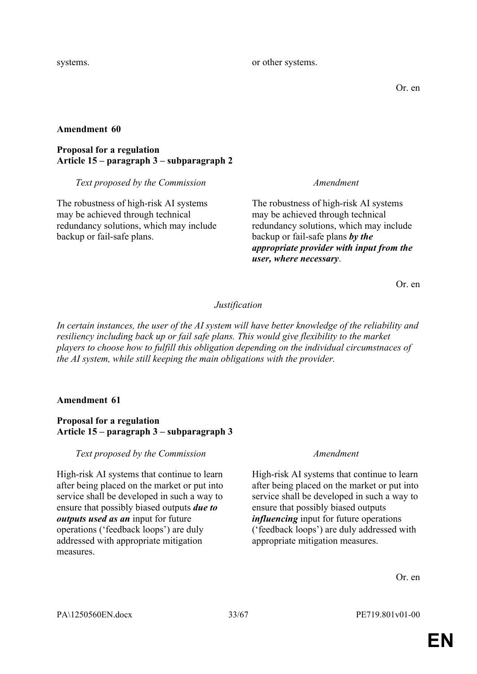systems.  $\blacksquare$  or other systems.

Or. en

# **Amendment 60**

# **Proposal for a regulation Article 15 – paragraph 3 – subparagraph 2**

# *Text proposed by the Commission Amendment*

The robustness of high-risk AI systems may be achieved through technical redundancy solutions, which may include backup or fail-safe plans.

The robustness of high-risk AI systems may be achieved through technical redundancy solutions, which may include backup or fail-safe plans *by the appropriate provider with input from the user, where necessary*.

Or. en

# *Justification*

*In certain instances, the user of the AI system will have better knowledge of the reliability and resiliency including back up or fail safe plans. This would give flexibility to the market players to choose how to fulfill this obligation depending on the individual circumstnaces of the AI system, while still keeping the main obligations with the provider.*

# **Amendment 61**

# **Proposal for a regulation Article 15 – paragraph 3 – subparagraph 3**

*Text proposed by the Commission Amendment*

High-risk AI systems that continue to learn after being placed on the market or put into service shall be developed in such a way to ensure that possibly biased outputs *due to outputs used as an* input for future operations ('feedback loops') are duly addressed with appropriate mitigation measures.

High-risk AI systems that continue to learn after being placed on the market or put into service shall be developed in such a way to ensure that possibly biased outputs *influencing* input for future operations ('feedback loops') are duly addressed with appropriate mitigation measures.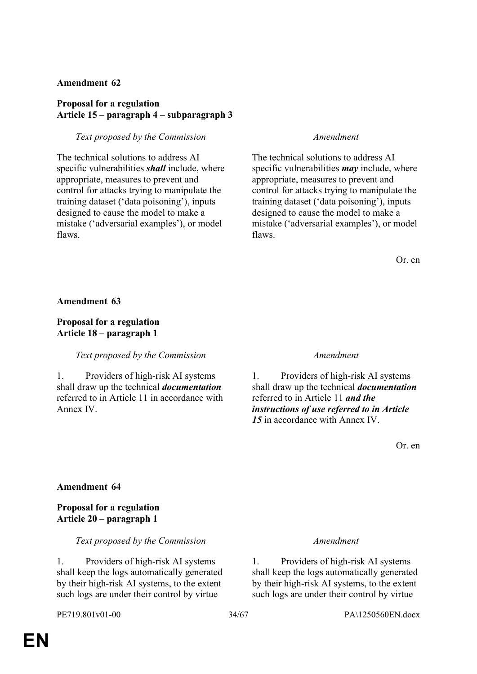# **Proposal for a regulation Article 15 – paragraph 4 – subparagraph 3**

# *Text proposed by the Commission Amendment*

The technical solutions to address AI specific vulnerabilities *shall* include, where appropriate, measures to prevent and control for attacks trying to manipulate the training dataset ('data poisoning'), inputs designed to cause the model to make a mistake ('adversarial examples'), or model flaws.

The technical solutions to address AI specific vulnerabilities *may* include, where appropriate, measures to prevent and control for attacks trying to manipulate the training dataset ('data poisoning'), inputs designed to cause the model to make a mistake ('adversarial examples'), or model flaws.

Or. en

# **Amendment 63**

# **Proposal for a regulation Article 18 – paragraph 1**

# *Text proposed by the Commission Amendment*

1. Providers of high-risk AI systems shall draw up the technical *documentation* referred to in Article 11 in accordance with Annex IV.

1. Providers of high-risk AI systems shall draw up the technical *documentation* referred to in Article 11 *and the instructions of use referred to in Article 15* in accordance with Annex IV.

Or. en

# **Amendment 64**

# **Proposal for a regulation Article 20 – paragraph 1**

*Text proposed by the Commission Amendment*

1. Providers of high-risk AI systems shall keep the logs automatically generated by their high-risk AI systems, to the extent such logs are under their control by virtue

1. Providers of high-risk AI systems shall keep the logs automatically generated by their high-risk AI systems, to the extent such logs are under their control by virtue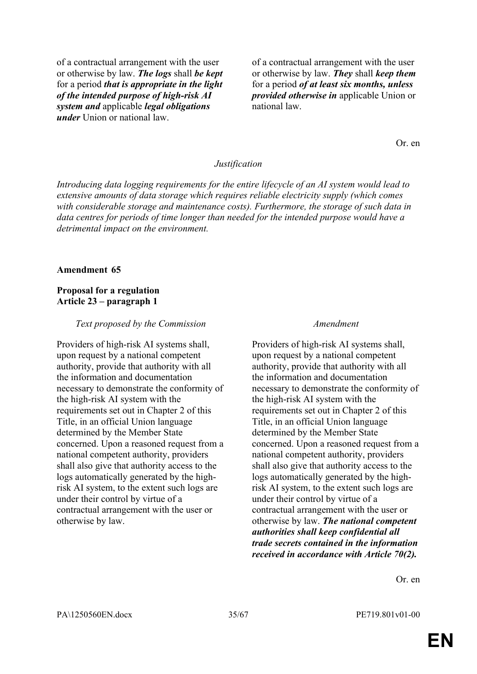of a contractual arrangement with the user or otherwise by law. *The logs* shall *be kept* for a period *that is appropriate in the light of the intended purpose of high-risk AI system and* applicable *legal obligations under* Union or national law.

of a contractual arrangement with the user or otherwise by law. *They* shall *keep them* for a period *of at least six months, unless provided otherwise in* applicable Union or national law.

Or. en

#### *Justification*

*Introducing data logging requirements for the entire lifecycle of an AI system would lead to extensive amounts of data storage which requires reliable electricity supply (which comes with considerable storage and maintenance costs). Furthermore, the storage of such data in data centres for periods of time longer than needed for the intended purpose would have a detrimental impact on the environment.*

#### **Amendment 65**

### **Proposal for a regulation Article 23 – paragraph 1**

#### *Text proposed by the Commission Amendment*

Providers of high-risk AI systems shall, upon request by a national competent authority, provide that authority with all the information and documentation necessary to demonstrate the conformity of the high-risk AI system with the requirements set out in Chapter 2 of this Title, in an official Union language determined by the Member State concerned. Upon a reasoned request from a national competent authority, providers shall also give that authority access to the logs automatically generated by the highrisk AI system, to the extent such logs are under their control by virtue of a contractual arrangement with the user or otherwise by law.

Providers of high-risk AI systems shall, upon request by a national competent authority, provide that authority with all the information and documentation necessary to demonstrate the conformity of the high-risk AI system with the requirements set out in Chapter 2 of this Title, in an official Union language determined by the Member State concerned. Upon a reasoned request from a national competent authority, providers shall also give that authority access to the logs automatically generated by the highrisk AI system, to the extent such logs are under their control by virtue of a contractual arrangement with the user or otherwise by law. *The national competent authorities shall keep confidential all trade secrets contained in the information received in accordance with Article 70(2).*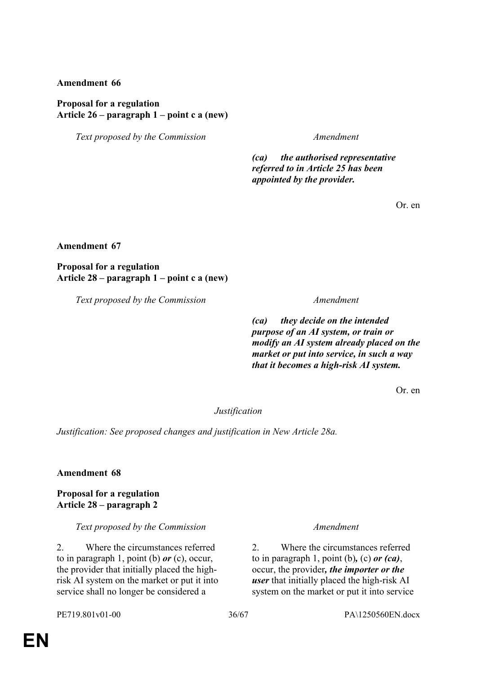# **Proposal for a regulation Article 26 – paragraph 1 – point c a (new)**

*Text proposed by the Commission Amendment*

*(ca) the authorised representative referred to in Article 25 has been appointed by the provider.*

Or. en

### **Amendment 67**

**Proposal for a regulation Article 28 – paragraph 1 – point c a (new)**

*Text proposed by the Commission Amendment*

*(ca) they decide on the intended purpose of an AI system, or train or modify an AI system already placed on the market or put into service, in such a way that it becomes a high-risk AI system.*

Or. en

### *Justification*

*Justification: See proposed changes and justification in New Article 28a.*

**Amendment 68**

**Proposal for a regulation Article 28 – paragraph 2**

### *Text proposed by the Commission Amendment*

2. Where the circumstances referred to in paragraph 1, point (b) *or* (c), occur, the provider that initially placed the highrisk AI system on the market or put it into service shall no longer be considered a

2. Where the circumstances referred to in paragraph 1, point (b)*,* (c) *or (ca)*, occur, the provider*, the importer or the user* that initially placed the high-risk AI system on the market or put it into service

PE719.801v01-00 36/67 PA\1250560EN.docx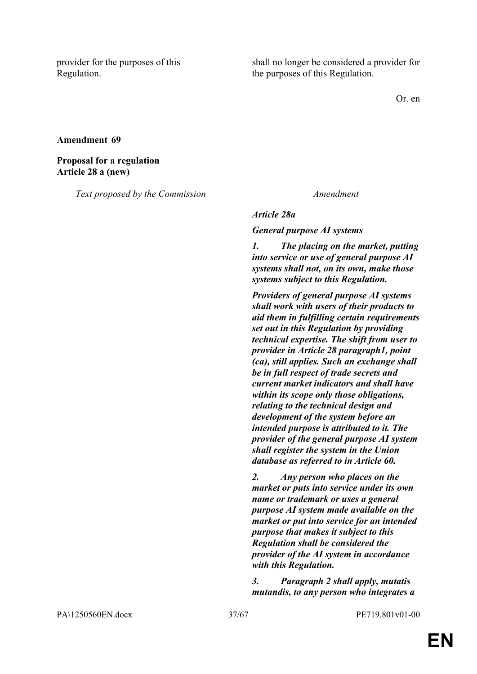provider for the purposes of this Regulation.

shall no longer be considered a provider for the purposes of this Regulation.

Or. en

### **Amendment 69**

# **Proposal for a regulation Article 28 a (new)**

*Text proposed by the Commission Amendment*

### *Article 28a*

*General purpose AI systems*

*1. The placing on the market, putting into service or use of general purpose AI systems shall not, on its own, make those systems subject to this Regulation.* 

*Providers of general purpose AI systems shall work with users of their products to aid them in fulfilling certain requirements set out in this Regulation by providing technical expertise. The shift from user to provider in Article 28 paragraph1, point (ca), still applies. Such an exchange shall be in full respect of trade secrets and current market indicators and shall have within its scope only those obligations, relating to the technical design and development of the system before an intended purpose is attributed to it. The provider of the general purpose AI system shall register the system in the Union database as referred to in Article 60.* 

*2. Any person who places on the market or puts into service under its own name or trademark or uses a general purpose AI system made available on the market or put into service for an intended purpose that makes it subject to this Regulation shall be considered the provider of the AI system in accordance with this Regulation.* 

*3. Paragraph 2 shall apply, mutatis mutandis, to any person who integrates a* 

PA\1250560EN.docx 37/67 PE719.801v01-00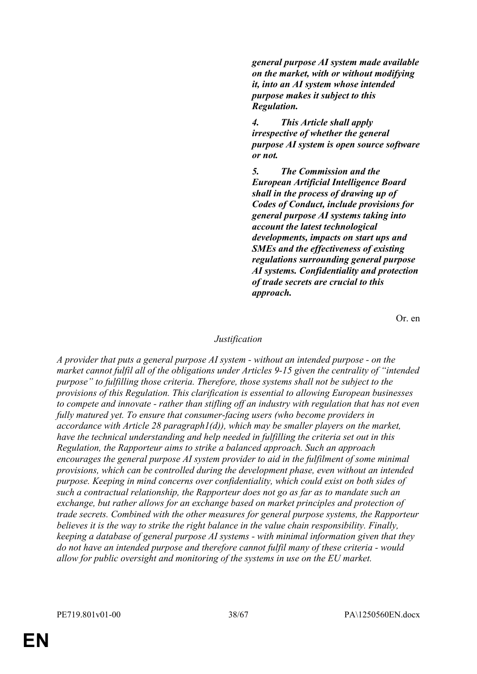*general purpose AI system made available on the market, with or without modifying it, into an AI system whose intended purpose makes it subject to this Regulation.* 

*4. This Article shall apply irrespective of whether the general purpose AI system is open source software or not.* 

*5. The Commission and the European Artificial Intelligence Board shall in the process of drawing up of Codes of Conduct, include provisions for general purpose AI systems taking into account the latest technological developments, impacts on start ups and SMEs and the effectiveness of existing regulations surrounding general purpose AI systems. Confidentiality and protection of trade secrets are crucial to this approach.*

Or. en

### *Justification*

*A provider that puts a general purpose AI system - without an intended purpose - on the market cannot fulfil all of the obligations under Articles 9-15 given the centrality of "intended purpose" to fulfilling those criteria. Therefore, those systems shall not be subject to the provisions of this Regulation. This clarification is essential to allowing European businesses to compete and innovate - rather than stifling off an industry with regulation that has not even fully matured yet. To ensure that consumer-facing users (who become providers in accordance with Article 28 paragraph1(d)), which may be smaller players on the market, have the technical understanding and help needed in fulfilling the criteria set out in this Regulation, the Rapporteur aims to strike a balanced approach. Such an approach encourages the general purpose AI system provider to aid in the fulfilment of some minimal provisions, which can be controlled during the development phase, even without an intended purpose. Keeping in mind concerns over confidentiality, which could exist on both sides of such a contractual relationship, the Rapporteur does not go as far as to mandate such an exchange, but rather allows for an exchange based on market principles and protection of trade secrets. Combined with the other measures for general purpose systems, the Rapporteur believes it is the way to strike the right balance in the value chain responsibility. Finally, keeping a database of general purpose AI systems - with minimal information given that they do not have an intended purpose and therefore cannot fulfil many of these criteria - would allow for public oversight and monitoring of the systems in use on the EU market.*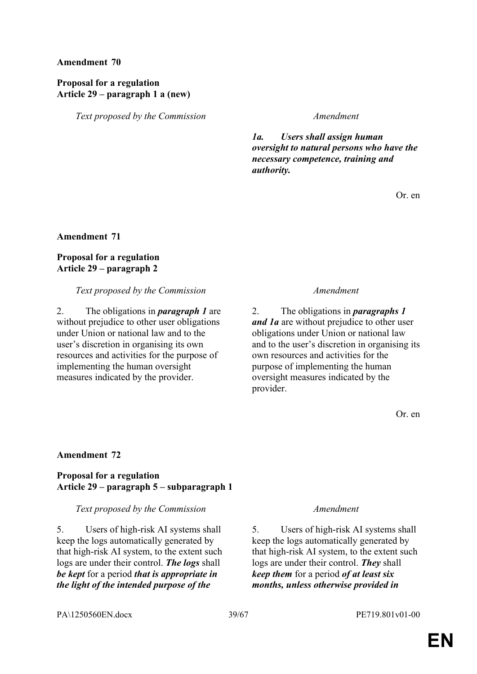# **Proposal for a regulation Article 29 – paragraph 1 a (new)**

*Text proposed by the Commission Amendment*

*1a. Users shall assign human oversight to natural persons who have the necessary competence, training and authority.*

Or. en

**Amendment 71**

# **Proposal for a regulation Article 29 – paragraph 2**

### *Text proposed by the Commission Amendment*

2. The obligations in *paragraph 1* are without prejudice to other user obligations under Union or national law and to the user's discretion in organising its own resources and activities for the purpose of implementing the human oversight measures indicated by the provider.

2. The obligations in *paragraphs 1 and 1a* are without prejudice to other user obligations under Union or national law and to the user's discretion in organising its own resources and activities for the purpose of implementing the human oversight measures indicated by the provider.

Or. en

# **Amendment 72**

# **Proposal for a regulation Article 29 – paragraph 5 – subparagraph 1**

# *Text proposed by the Commission Amendment*

5. Users of high-risk AI systems shall keep the logs automatically generated by that high-risk AI system, to the extent such logs are under their control. *The logs* shall *be kept* for a period *that is appropriate in the light of the intended purpose of the* 

5. Users of high-risk AI systems shall keep the logs automatically generated by that high-risk AI system, to the extent such logs are under their control. *They* shall *keep them* for a period *of at least six months, unless otherwise provided in*

PA\1250560EN.docx 39/67 PE719.801v01-00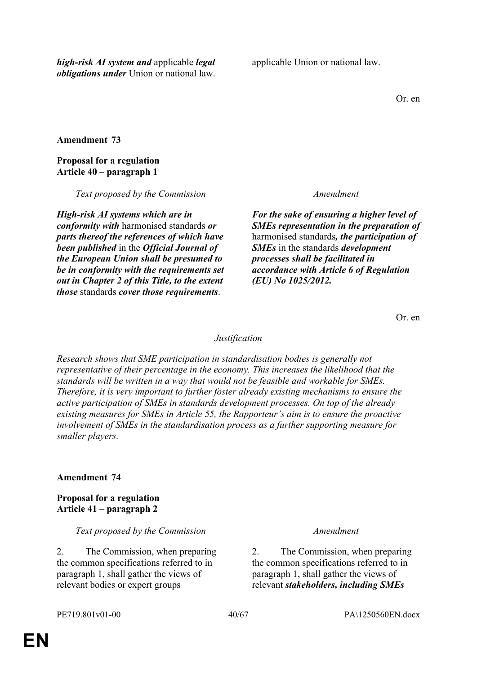*high-risk AI system and* applicable *legal obligations under* Union or national law. applicable Union or national law.

Or. en

**Amendment 73**

# **Proposal for a regulation Article 40 – paragraph 1**

*Text proposed by the Commission Amendment*

*High-risk AI systems which are in conformity with* harmonised standards *or parts thereof the references of which have been published* in the *Official Journal of the European Union shall be presumed to be in conformity with the requirements set out in Chapter 2 of this Title, to the extent those* standards *cover those requirements*.

*For the sake of ensuring a higher level of SMEs representation in the preparation of* harmonised standards*, the participation of SMEs* in the standards *development processes shall be facilitated in accordance with Article 6 of Regulation (EU) No 1025/2012.*

Or. en

# *Justification*

*Research shows that SME participation in standardisation bodies is generally not representative of their percentage in the economy. This increases the likelihood that the standards will be written in a way that would not be feasible and workable for SMEs. Therefore, it is very important to further foster already existing mechanisms to ensure the active participation of SMEs in standards development processes. On top of the already existing measures for SMEs in Article 55, the Rapporteur's aim is to ensure the proactive involvement of SMEs in the standardisation process as a further supporting measure for smaller players.*

# **Amendment 74**

**Proposal for a regulation Article 41 – paragraph 2**

*Text proposed by the Commission Amendment*

2. The Commission, when preparing the common specifications referred to in paragraph 1, shall gather the views of relevant bodies or expert groups

2. The Commission, when preparing the common specifications referred to in paragraph 1, shall gather the views of relevant *stakeholders, including SMEs*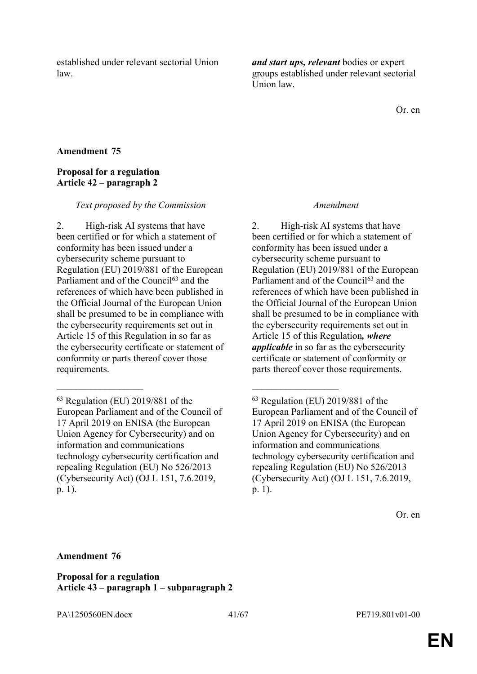established under relevant sectorial Union law.

*and start ups, relevant* bodies or expert groups established under relevant sectorial Union law.

Or. en

# **Amendment 75**

# **Proposal for a regulation Article 42 – paragraph 2**

### *Text proposed by the Commission Amendment*

2. High-risk AI systems that have been certified or for which a statement of conformity has been issued under a cybersecurity scheme pursuant to Regulation (EU) 2019/881 of the European Parliament and of the Council<sup>63</sup> and the references of which have been published in the Official Journal of the European Union shall be presumed to be in compliance with the cybersecurity requirements set out in Article 15 of this Regulation in so far as the cybersecurity certificate or statement of conformity or parts thereof cover those requirements.

 $\mathcal{L}_\text{max}$  and  $\mathcal{L}_\text{max}$  and  $\mathcal{L}_\text{max}$  and  $\mathcal{L}_\text{max}$ 

2. High-risk AI systems that have been certified or for which a statement of conformity has been issued under a cybersecurity scheme pursuant to Regulation (EU) 2019/881 of the European Parliament and of the Council<sup>63</sup> and the references of which have been published in the Official Journal of the European Union shall be presumed to be in compliance with the cybersecurity requirements set out in Article 15 of this Regulation*, where applicable* in so far as the cybersecurity certificate or statement of conformity or parts thereof cover those requirements.

# **Amendment 76**

**Proposal for a regulation Article 43 – paragraph 1 – subparagraph 2**

PA\1250560EN.docx 41/67 PE719.801v01-00

<sup>63</sup> Regulation (EU) 2019/881 of the European Parliament and of the Council of 17 April 2019 on ENISA (the European Union Agency for Cybersecurity) and on information and communications technology cybersecurity certification and repealing Regulation (EU) No 526/2013 (Cybersecurity Act) (OJ L 151, 7.6.2019, p. 1).

<sup>63</sup> Regulation (EU) 2019/881 of the European Parliament and of the Council of 17 April 2019 on ENISA (the European Union Agency for Cybersecurity) and on information and communications technology cybersecurity certification and repealing Regulation (EU) No 526/2013 (Cybersecurity Act) (OJ L 151, 7.6.2019, p. 1).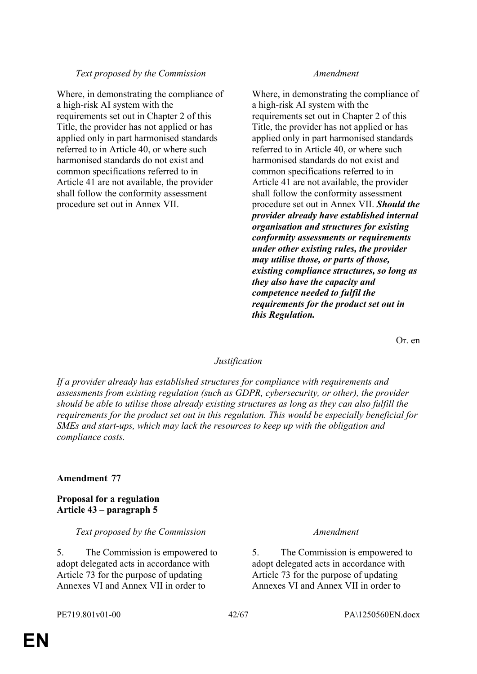# *Text proposed by the Commission Amendment*

Where, in demonstrating the compliance of a high-risk AI system with the requirements set out in Chapter 2 of this Title, the provider has not applied or has applied only in part harmonised standards referred to in Article 40, or where such harmonised standards do not exist and common specifications referred to in Article 41 are not available, the provider shall follow the conformity assessment procedure set out in Annex VII.

Where, in demonstrating the compliance of a high-risk AI system with the requirements set out in Chapter 2 of this Title, the provider has not applied or has applied only in part harmonised standards referred to in Article 40, or where such harmonised standards do not exist and common specifications referred to in Article 41 are not available, the provider shall follow the conformity assessment procedure set out in Annex VII. *Should the provider already have established internal organisation and structures for existing conformity assessments or requirements under other existing rules, the provider may utilise those, or parts of those, existing compliance structures, so long as they also have the capacity and competence needed to fulfil the requirements for the product set out in this Regulation.*

Or. en

# *Justification*

*If a provider already has established structures for compliance with requirements and assessments from existing regulation (such as GDPR, cybersecurity, or other), the provider should be able to utilise those already existing structures as long as they can also fulfill the requirements for the product set out in this regulation. This would be especially beneficial for SMEs and start-ups, which may lack the resources to keep up with the obligation and compliance costs.*

# **Amendment 77**

# **Proposal for a regulation Article 43 – paragraph 5**

*Text proposed by the Commission Amendment*

5. The Commission is empowered to adopt delegated acts in accordance with Article 73 for the purpose of updating Annexes VI and Annex VII in order to

5. The Commission is empowered to adopt delegated acts in accordance with Article 73 for the purpose of updating Annexes VI and Annex VII in order to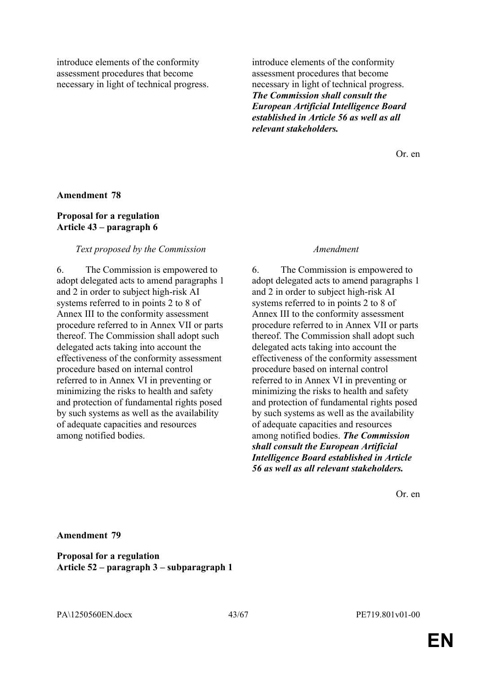introduce elements of the conformity assessment procedures that become necessary in light of technical progress.

Or. en

### **Amendment 78**

# **Proposal for a regulation Article 43 – paragraph 6**

### *Text proposed by the Commission Amendment*

6. The Commission is empowered to adopt delegated acts to amend paragraphs 1 and 2 in order to subject high-risk AI systems referred to in points 2 to 8 of Annex III to the conformity assessment procedure referred to in Annex VII or parts thereof. The Commission shall adopt such delegated acts taking into account the effectiveness of the conformity assessment procedure based on internal control referred to in Annex VI in preventing or minimizing the risks to health and safety and protection of fundamental rights posed by such systems as well as the availability of adequate capacities and resources among notified bodies.

6. The Commission is empowered to adopt delegated acts to amend paragraphs 1 and 2 in order to subject high-risk AI systems referred to in points 2 to 8 of Annex III to the conformity assessment procedure referred to in Annex VII or parts thereof. The Commission shall adopt such delegated acts taking into account the effectiveness of the conformity assessment procedure based on internal control referred to in Annex VI in preventing or minimizing the risks to health and safety and protection of fundamental rights posed by such systems as well as the availability of adequate capacities and resources among notified bodies. *The Commission shall consult the European Artificial Intelligence Board established in Article 56 as well as all relevant stakeholders.*

Or. en

**Amendment 79**

**Proposal for a regulation Article 52 – paragraph 3 – subparagraph 1**

PA\1250560EN.docx 43/67 PE719.801v01-00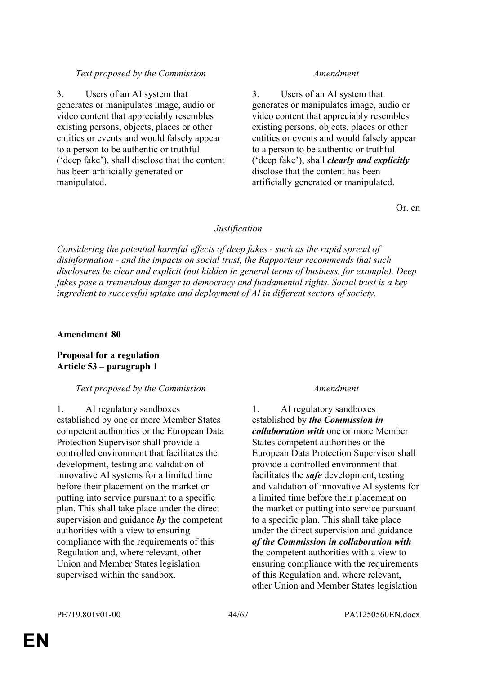# *Text proposed by the Commission Amendment*

3. Users of an AI system that generates or manipulates image, audio or video content that appreciably resembles existing persons, objects, places or other entities or events and would falsely appear to a person to be authentic or truthful ('deep fake'), shall disclose that the content has been artificially generated or manipulated.

3. Users of an AI system that generates or manipulates image, audio or video content that appreciably resembles existing persons, objects, places or other entities or events and would falsely appear to a person to be authentic or truthful ('deep fake'), shall *clearly and explicitly* disclose that the content has been artificially generated or manipulated.

Or. en

# *Justification*

*Considering the potential harmful effects of deep fakes - such as the rapid spread of disinformation - and the impacts on social trust, the Rapporteur recommends that such disclosures be clear and explicit (not hidden in general terms of business, for example). Deep fakes pose a tremendous danger to democracy and fundamental rights. Social trust is a key ingredient to successful uptake and deployment of AI in different sectors of society.*

# **Amendment 80**

# **Proposal for a regulation Article 53 – paragraph 1**

# *Text proposed by the Commission Amendment*

1. AI regulatory sandboxes established by one or more Member States competent authorities or the European Data Protection Supervisor shall provide a controlled environment that facilitates the development, testing and validation of innovative AI systems for a limited time before their placement on the market or putting into service pursuant to a specific plan. This shall take place under the direct supervision and guidance *by* the competent authorities with a view to ensuring compliance with the requirements of this Regulation and, where relevant, other Union and Member States legislation supervised within the sandbox.

1. AI regulatory sandboxes established by *the Commission in collaboration with* one or more Member States competent authorities or the European Data Protection Supervisor shall provide a controlled environment that facilitates the *safe* development, testing and validation of innovative AI systems for a limited time before their placement on the market or putting into service pursuant to a specific plan. This shall take place under the direct supervision and guidance *of the Commission in collaboration with* the competent authorities with a view to ensuring compliance with the requirements of this Regulation and, where relevant, other Union and Member States legislation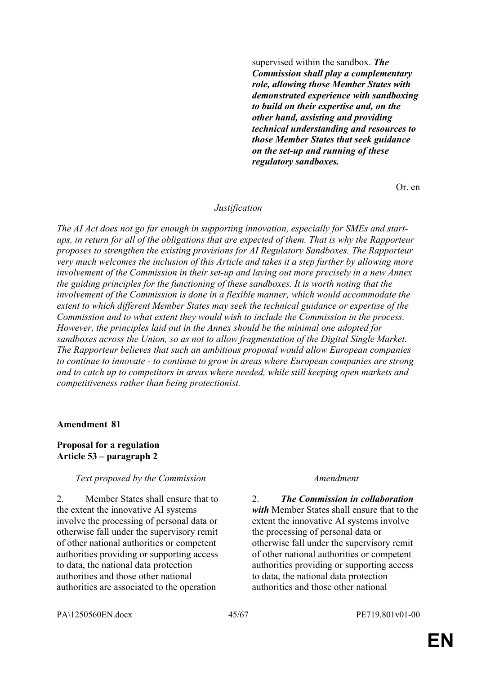supervised within the sandbox. *The Commission shall play a complementary role, allowing those Member States with demonstrated experience with sandboxing to build on their expertise and, on the other hand, assisting and providing technical understanding and resources to those Member States that seek guidance on the set-up and running of these regulatory sandboxes.*

Or. en

### *Justification*

*The AI Act does not go far enough in supporting innovation, especially for SMEs and startups, in return for all of the obligations that are expected of them. That is why the Rapporteur proposes to strengthen the existing provisions for AI Regulatory Sandboxes. The Rapporteur very much welcomes the inclusion of this Article and takes it a step further by allowing more involvement of the Commission in their set-up and laying out more precisely in a new Annex the guiding principles for the functioning of these sandboxes. It is worth noting that the involvement of the Commission is done in a flexible manner, which would accommodate the extent to which different Member States may seek the technical guidance or expertise of the Commission and to what extent they would wish to include the Commission in the process. However, the principles laid out in the Annex should be the minimal one adopted for sandboxes across the Union, so as not to allow fragmentation of the Digital Single Market. The Rapporteur believes that such an ambitious proposal would allow European companies to continue to innovate - to continue to grow in areas where European companies are strong and to catch up to competitors in areas where needed, while still keeping open markets and competitiveness rather than being protectionist.*

#### **Amendment 81**

### **Proposal for a regulation Article 53 – paragraph 2**

### *Text proposed by the Commission Amendment*

2. Member States shall ensure that to the extent the innovative AI systems involve the processing of personal data or otherwise fall under the supervisory remit of other national authorities or competent authorities providing or supporting access to data, the national data protection authorities and those other national authorities are associated to the operation

2. *The Commission in collaboration with* Member States shall ensure that to the extent the innovative AI systems involve the processing of personal data or otherwise fall under the supervisory remit of other national authorities or competent authorities providing or supporting access to data, the national data protection authorities and those other national

PA\1250560EN.docx 45/67 PE719.801v01-00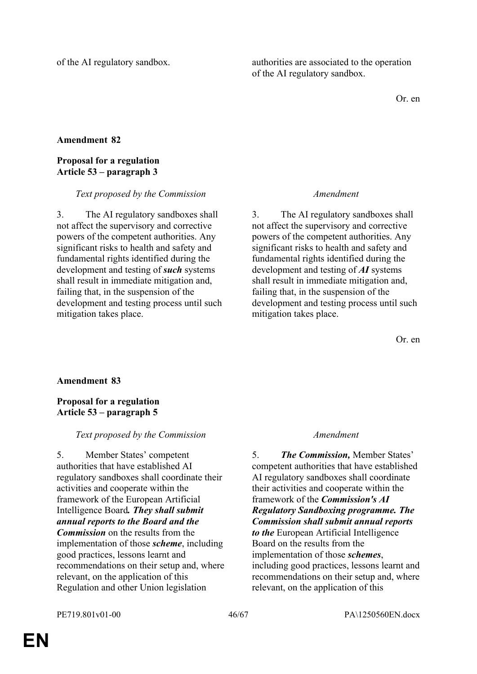of the AI regulatory sandbox. authorities are associated to the operation of the AI regulatory sandbox.

Or. en

# **Amendment 82**

# **Proposal for a regulation Article 53 – paragraph 3**

### *Text proposed by the Commission Amendment*

3. The AI regulatory sandboxes shall not affect the supervisory and corrective powers of the competent authorities. Any significant risks to health and safety and fundamental rights identified during the development and testing of *such* systems shall result in immediate mitigation and, failing that, in the suspension of the development and testing process until such mitigation takes place.

3. The AI regulatory sandboxes shall not affect the supervisory and corrective powers of the competent authorities. Any significant risks to health and safety and fundamental rights identified during the development and testing of *AI* systems shall result in immediate mitigation and, failing that, in the suspension of the development and testing process until such mitigation takes place.

Or. en

# **Amendment 83**

# **Proposal for a regulation Article 53 – paragraph 5**

# *Text proposed by the Commission Amendment*

5. Member States' competent authorities that have established AI regulatory sandboxes shall coordinate their activities and cooperate within the framework of the European Artificial Intelligence Board*. They shall submit annual reports to the Board and the Commission* on the results from the implementation of those *scheme*, including good practices, lessons learnt and recommendations on their setup and, where relevant, on the application of this Regulation and other Union legislation

5. *The Commission,* Member States' competent authorities that have established AI regulatory sandboxes shall coordinate their activities and cooperate within the framework of the *Commission's AI Regulatory Sandboxing programme. The Commission shall submit annual reports to the* European Artificial Intelligence Board on the results from the implementation of those *schemes*, including good practices, lessons learnt and recommendations on their setup and, where relevant, on the application of this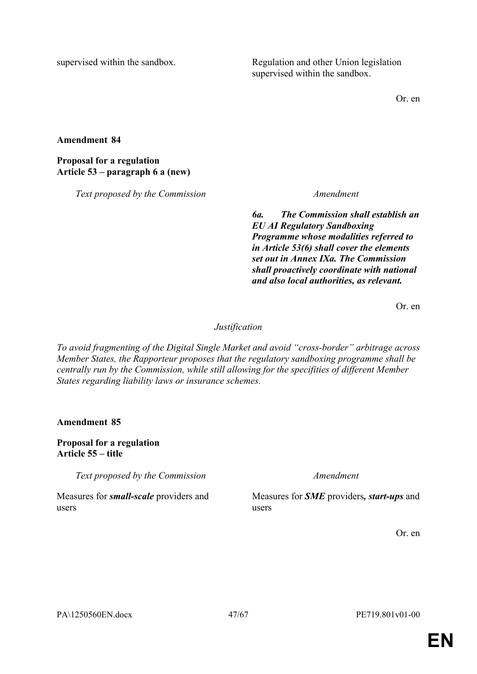supervised within the sandbox. Regulation and other Union legislation supervised within the sandbox.

Or. en

**Amendment 84**

**Proposal for a regulation Article 53 – paragraph 6 a (new)**

*Text proposed by the Commission Amendment*

*6a. The Commission shall establish an EU AI Regulatory Sandboxing Programme whose modalities referred to in Article 53(6) shall cover the elements set out in Annex IXa. The Commission shall proactively coordinate with national and also local authorities, as relevant.*

Or. en

*Justification*

*To avoid fragmenting of the Digital Single Market and avoid "cross-border" arbitrage across Member States, the Rapporteur proposes that the regulatory sandboxing programme shall be centrally run by the Commission, while still allowing for the specifities of different Member States regarding liability laws or insurance schemes.*

**Amendment 85**

**Proposal for a regulation Article 55 – title**

*Text proposed by the Commission Amendment*

Measures for *small-scale* providers and users

Measures for *SME* providers*, start-ups* and users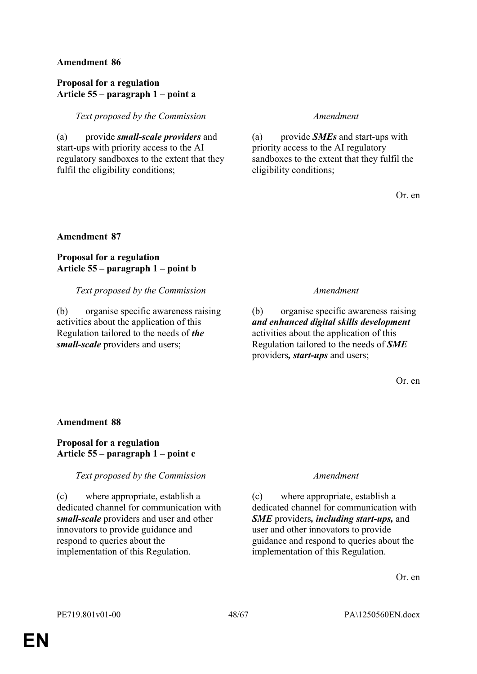# **Proposal for a regulation Article 55 – paragraph 1 – point a**

*Text proposed by the Commission Amendment*

(a) provide *small-scale providers* and start-ups with priority access to the AI regulatory sandboxes to the extent that they fulfil the eligibility conditions;

(a) provide *SMEs* and start-ups with priority access to the AI regulatory sandboxes to the extent that they fulfil the eligibility conditions;

Or. en

# **Amendment 87**

# **Proposal for a regulation Article 55 – paragraph 1 – point b**

*Text proposed by the Commission Amendment*

(b) organise specific awareness raising activities about the application of this Regulation tailored to the needs of *the small-scale* providers and users;

(b) organise specific awareness raising *and enhanced digital skills development* activities about the application of this Regulation tailored to the needs of *SME* providers*, start-ups* and users;

Or. en

# **Amendment 88**

# **Proposal for a regulation Article 55 – paragraph 1 – point c**

# *Text proposed by the Commission Amendment*

(c) where appropriate, establish a dedicated channel for communication with *small-scale* providers and user and other innovators to provide guidance and respond to queries about the implementation of this Regulation.

(c) where appropriate, establish a dedicated channel for communication with *SME* providers*, including start-ups,* and user and other innovators to provide guidance and respond to queries about the implementation of this Regulation.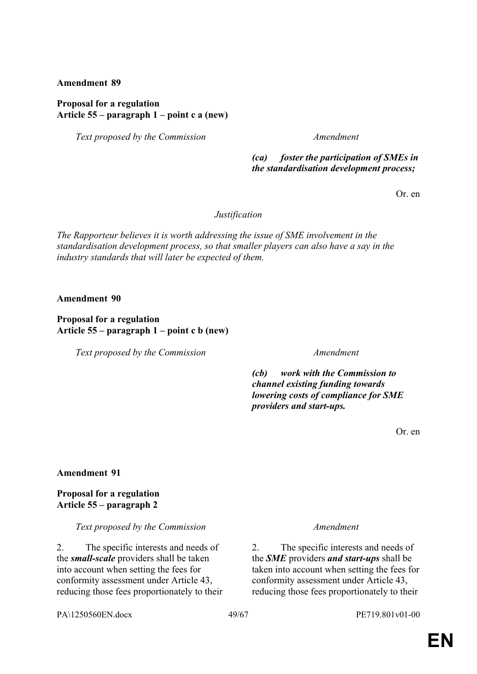# **Proposal for a regulation Article 55 – paragraph 1 – point c a (new)**

*Text proposed by the Commission Amendment*

*(ca) foster the participation of SMEs in the standardisation development process;*

Or. en

*Justification*

*The Rapporteur believes it is worth addressing the issue of SME involvement in the standardisation development process, so that smaller players can also have a say in the industry standards that will later be expected of them.*

**Amendment 90**

**Proposal for a regulation Article 55 – paragraph 1 – point c b (new)**

*Text proposed by the Commission Amendment*

*(cb) work with the Commission to channel existing funding towards lowering costs of compliance for SME providers and start-ups.*

Or. en

# **Amendment 91**

**Proposal for a regulation Article 55 – paragraph 2**

*Text proposed by the Commission Amendment*

2. The specific interests and needs of the *small-scale* providers shall be taken into account when setting the fees for conformity assessment under Article 43, reducing those fees proportionately to their

2. The specific interests and needs of the *SME* providers *and start-ups* shall be taken into account when setting the fees for conformity assessment under Article 43, reducing those fees proportionately to their

PA\1250560EN.docx 49/67 PE719.801v01-00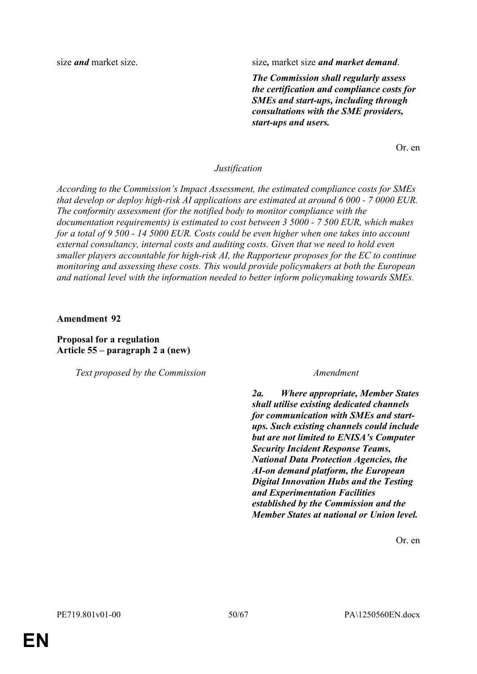size *and* market size. size, market size *and market demand*.

*The Commission shall regularly assess the certification and compliance costs for SMEs and start-ups, including through consultations with the SME providers, start-ups and users.*

Or. en

### *Justification*

*According to the Commission's Impact Assessment, the estimated compliance costs for SMEs that develop or deploy high-risk AI applications are estimated at around 6 000 - 7 0000 EUR. The conformity assessment (for the notified body to monitor compliance with the documentation requirements) is estimated to cost between 3 5000 - 7 500 EUR, which makes for a total of 9 500 - 14 5000 EUR. Costs could be even higher when one takes into account external consultancy, internal costs and auditing costs. Given that we need to hold even smaller players accountable for high-risk AI, the Rapporteur proposes for the EC to continue monitoring and assessing these costs. This would provide policymakers at both the European and national level with the information needed to better inform policymaking towards SMEs.*

**Amendment 92**

**Proposal for a regulation Article 55 – paragraph 2 a (new)**

*Text proposed by the Commission Amendment*

*2a. Where appropriate, Member States shall utilise existing dedicated channels for communication with SMEs and startups. Such existing channels could include but are not limited to ENISA's Computer Security Incident Response Teams, National Data Protection Agencies, the AI-on demand platform, the European Digital Innovation Hubs and the Testing and Experimentation Facilities established by the Commission and the Member States at national or Union level.*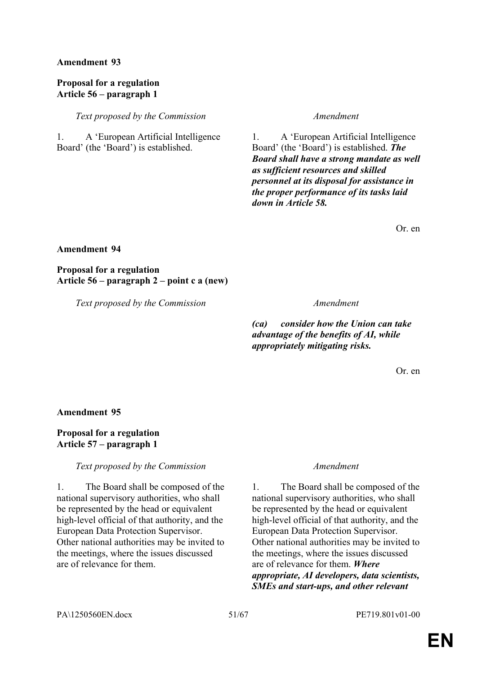# **Proposal for a regulation Article 56 – paragraph 1**

*Text proposed by the Commission Amendment*

1. A 'European Artificial Intelligence Board' (the 'Board') is established.

1. A 'European Artificial Intelligence Board' (the 'Board') is established. *The Board shall have a strong mandate as well as sufficient resources and skilled personnel at its disposal for assistance in the proper performance of its tasks laid down in Article 58.*

Or. en

# **Amendment 94**

**Proposal for a regulation Article 56 – paragraph 2 – point c a (new)**

*Text proposed by the Commission Amendment*

*(ca) consider how the Union can take advantage of the benefits of AI, while appropriately mitigating risks.*

Or. en

# **Amendment 95**

# **Proposal for a regulation Article 57 – paragraph 1**

# *Text proposed by the Commission Amendment*

1. The Board shall be composed of the national supervisory authorities, who shall be represented by the head or equivalent high-level official of that authority, and the European Data Protection Supervisor. Other national authorities may be invited to the meetings, where the issues discussed are of relevance for them.

1. The Board shall be composed of the national supervisory authorities, who shall be represented by the head or equivalent high-level official of that authority, and the European Data Protection Supervisor. Other national authorities may be invited to the meetings, where the issues discussed are of relevance for them. *Where appropriate, AI developers, data scientists, SMEs and start-ups, and other relevant*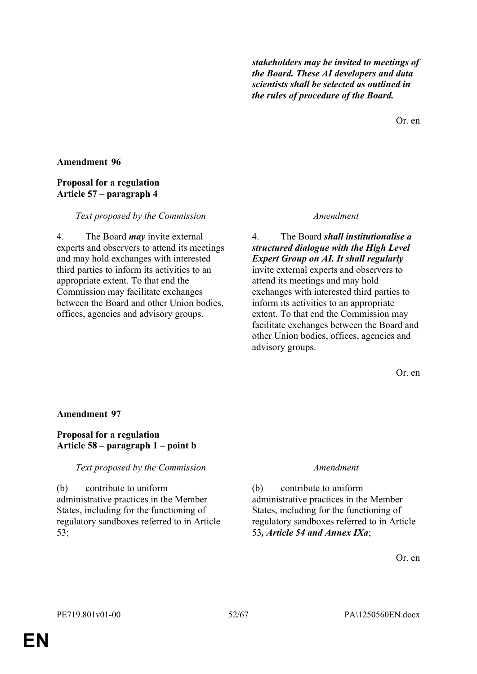*stakeholders may be invited to meetings of the Board. These AI developers and data scientists shall be selected as outlined in the rules of procedure of the Board.*

Or. en

### **Amendment 96**

# **Proposal for a regulation Article 57 – paragraph 4**

### *Text proposed by the Commission Amendment*

4. The Board *may* invite external experts and observers to attend its meetings and may hold exchanges with interested third parties to inform its activities to an appropriate extent. To that end the Commission may facilitate exchanges between the Board and other Union bodies, offices, agencies and advisory groups.

4. The Board *shall institutionalise a structured dialogue with the High Level Expert Group on AI. It shall regularly* invite external experts and observers to attend its meetings and may hold exchanges with interested third parties to inform its activities to an appropriate extent. To that end the Commission may facilitate exchanges between the Board and other Union bodies, offices, agencies and advisory groups.

Or. en

### **Amendment 97**

# **Proposal for a regulation Article 58 – paragraph 1 – point b**

*Text proposed by the Commission Amendment*

(b) contribute to uniform administrative practices in the Member States, including for the functioning of regulatory sandboxes referred to in Article  $53$ 

(b) contribute to uniform administrative practices in the Member States, including for the functioning of regulatory sandboxes referred to in Article 53*, Article 54 and Annex IXa*;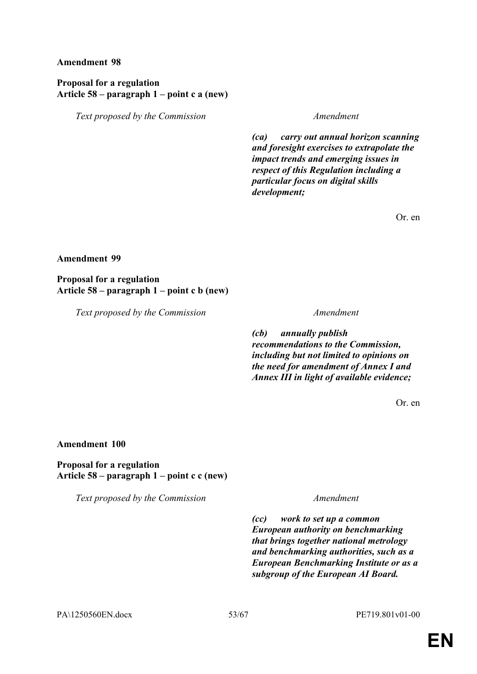# **Proposal for a regulation Article 58 – paragraph 1 – point c a (new)**

*Text proposed by the Commission Amendment*

*(ca) carry out annual horizon scanning and foresight exercises to extrapolate the impact trends and emerging issues in respect of this Regulation including a particular focus on digital skills development;*

Or. en

### **Amendment 99**

# **Proposal for a regulation Article 58 – paragraph 1 – point c b (new)**

*Text proposed by the Commission Amendment*

*(cb) annually publish recommendations to the Commission, including but not limited to opinions on the need for amendment of Annex I and Annex III in light of available evidence;*

Or. en

# **Amendment 100**

# **Proposal for a regulation Article 58 – paragraph 1 – point c c (new)**

*Text proposed by the Commission Amendment*

*(cc) work to set up a common European authority on benchmarking that brings together national metrology and benchmarking authorities, such as a European Benchmarking Institute or as a subgroup of the European AI Board.*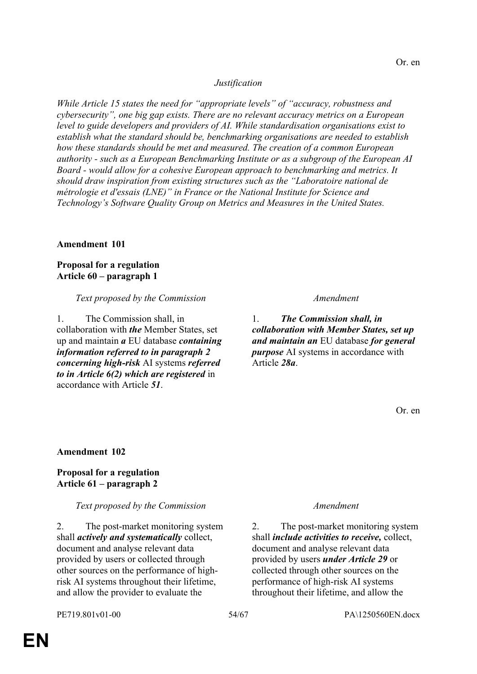# *Justification*

*While Article 15 states the need for "appropriate levels" of "accuracy, robustness and cybersecurity", one big gap exists. There are no relevant accuracy metrics on a European level to guide developers and providers of AI. While standardisation organisations exist to establish what the standard should be, benchmarking organisations are needed to establish how these standards should be met and measured. The creation of a common European authority - such as a European Benchmarking Institute or as a subgroup of the European AI Board - would allow for a cohesive European approach to benchmarking and metrics. It should draw inspiration from existing structures such as the "Laboratoire national de métrologie et d'essais (LNE)" in France or the National Institute for Science and Technology's Software Quality Group on Metrics and Measures in the United States.*

### **Amendment 101**

**Proposal for a regulation Article 60 – paragraph 1**

### *Text proposed by the Commission Amendment*

1. The Commission shall, in collaboration with *the* Member States, set up and maintain *a* EU database *containing information referred to in paragraph 2 concerning high-risk* AI systems *referred to in Article 6(2) which are registered* in accordance with Article *51*.

1. *The Commission shall, in collaboration with Member States, set up and maintain an* EU database *for general purpose* AI systems in accordance with Article *28a*.

Or. en

# **Amendment 102**

# **Proposal for a regulation Article 61 – paragraph 2**

### *Text proposed by the Commission Amendment*

2. The post-market monitoring system shall *actively and systematically* collect, document and analyse relevant data provided by users or collected through other sources on the performance of highrisk AI systems throughout their lifetime, and allow the provider to evaluate the

2. The post-market monitoring system shall *include activities to receive,* collect, document and analyse relevant data provided by users *under Article 29* or collected through other sources on the performance of high-risk AI systems throughout their lifetime, and allow the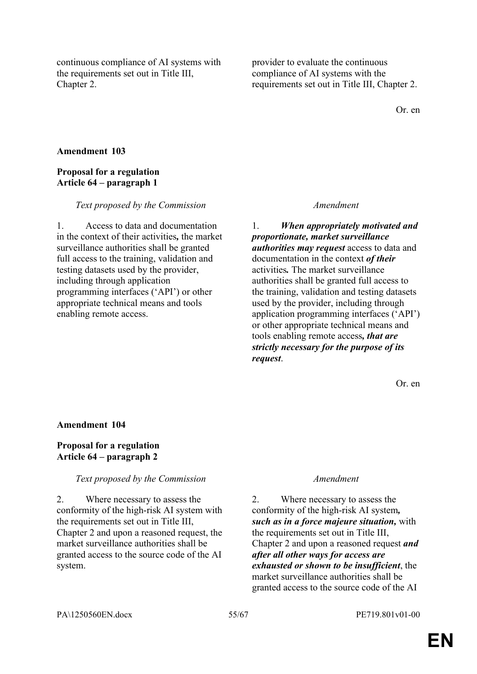continuous compliance of AI systems with the requirements set out in Title III, Chapter 2.

provider to evaluate the continuous compliance of AI systems with the requirements set out in Title III, Chapter 2.

Or. en

# **Amendment 103**

# **Proposal for a regulation Article 64 – paragraph 1**

### *Text proposed by the Commission Amendment*

1. Access to data and documentation in the context of their activities*,* the market surveillance authorities shall be granted full access to the training, validation and testing datasets used by the provider, including through application programming interfaces ('API') or other appropriate technical means and tools enabling remote access.

1. *When appropriately motivated and proportionate, market surveillance authorities may request* access to data and documentation in the context *of their* activities*.* The market surveillance authorities shall be granted full access to the training, validation and testing datasets used by the provider, including through application programming interfaces ('API') or other appropriate technical means and tools enabling remote access*, that are strictly necessary for the purpose of its request*.

Or. en

# **Amendment 104**

# **Proposal for a regulation Article 64 – paragraph 2**

# *Text proposed by the Commission Amendment*

2. Where necessary to assess the conformity of the high-risk AI system with the requirements set out in Title III, Chapter 2 and upon a reasoned request, the market surveillance authorities shall be granted access to the source code of the AI system.

2. Where necessary to assess the conformity of the high-risk AI system*, such as in a force majeure situation,* with the requirements set out in Title III, Chapter 2 and upon a reasoned request *and after all other ways for access are exhausted or shown to be insufficient*, the market surveillance authorities shall be granted access to the source code of the AI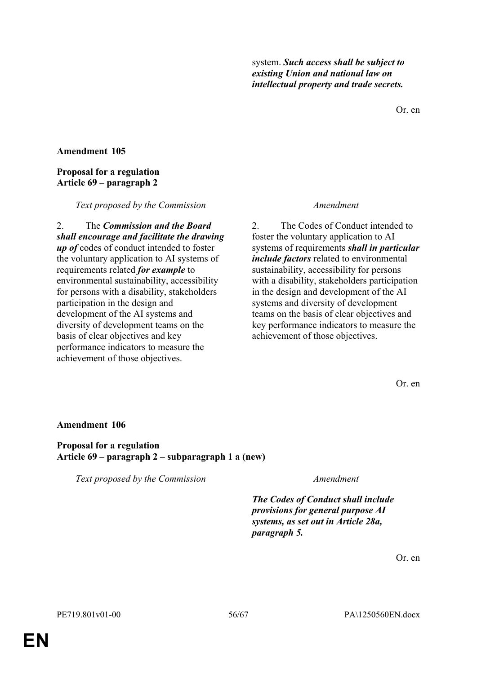Or. en

# **Amendment 105**

# **Proposal for a regulation Article 69 – paragraph 2**

### *Text proposed by the Commission Amendment*

2. The *Commission and the Board shall encourage and facilitate the drawing up of* codes of conduct intended to foster the voluntary application to AI systems of requirements related *for example* to environmental sustainability, accessibility for persons with a disability, stakeholders participation in the design and development of the AI systems and diversity of development teams on the basis of clear objectives and key performance indicators to measure the achievement of those objectives.

2. The Codes of Conduct intended to foster the voluntary application to AI systems of requirements *shall in particular include factors* related to environmental sustainability, accessibility for persons with a disability, stakeholders participation in the design and development of the AI systems and diversity of development teams on the basis of clear objectives and key performance indicators to measure the achievement of those objectives.

Or. en

# **Amendment 106**

**Proposal for a regulation Article 69 – paragraph 2 – subparagraph 1 a (new)**

*Text proposed by the Commission Amendment*

*The Codes of Conduct shall include provisions for general purpose AI systems, as set out in Article 28a, paragraph 5.*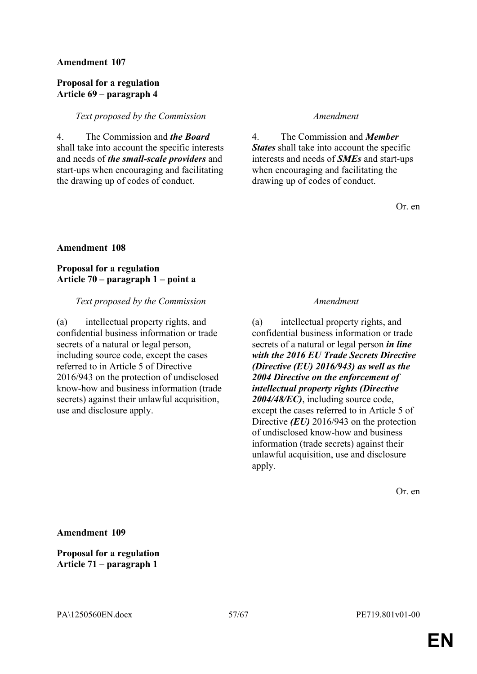### **Proposal for a regulation Article 69 – paragraph 4**

### *Text proposed by the Commission Amendment*

4. The Commission and *the Board* shall take into account the specific interests and needs of *the small-scale providers* and start-ups when encouraging and facilitating the drawing up of codes of conduct.

4. The Commission and *Member States* shall take into account the specific interests and needs of *SMEs* and start-ups when encouraging and facilitating the drawing up of codes of conduct.

Or. en

### **Amendment 108**

**Proposal for a regulation Article 70 – paragraph 1 – point a**

### *Text proposed by the Commission Amendment*

(a) intellectual property rights, and confidential business information or trade secrets of a natural or legal person, including source code, except the cases referred to in Article 5 of Directive 2016/943 on the protection of undisclosed know-how and business information (trade secrets) against their unlawful acquisition, use and disclosure apply.

(a) intellectual property rights, and confidential business information or trade secrets of a natural or legal person *in line with the 2016 EU Trade Secrets Directive (Directive (EU) 2016/943) as well as the 2004 Directive on the enforcement of intellectual property rights (Directive 2004/48/EC)*, including source code, except the cases referred to in Article 5 of Directive *(EU)* 2016/943 on the protection of undisclosed know-how and business information (trade secrets) against their unlawful acquisition, use and disclosure apply.

Or. en

**Amendment 109**

**Proposal for a regulation Article 71 – paragraph 1**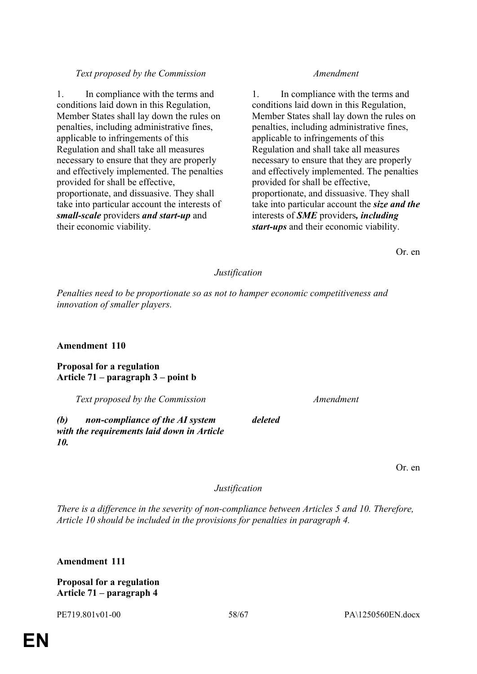# *Text proposed by the Commission Amendment*

1. In compliance with the terms and conditions laid down in this Regulation, Member States shall lay down the rules on penalties, including administrative fines, applicable to infringements of this Regulation and shall take all measures necessary to ensure that they are properly and effectively implemented. The penalties provided for shall be effective, proportionate, and dissuasive. They shall take into particular account the interests of *small-scale* providers *and start-up* and their economic viability.

1. In compliance with the terms and conditions laid down in this Regulation, Member States shall lay down the rules on penalties, including administrative fines, applicable to infringements of this Regulation and shall take all measures necessary to ensure that they are properly and effectively implemented. The penalties provided for shall be effective, proportionate, and dissuasive. They shall take into particular account the *size and the* interests of *SME* providers*, including start-ups* and their economic viability.

Or. en

# *Justification*

*Penalties need to be proportionate so as not to hamper economic competitiveness and innovation of smaller players.*

# **Amendment 110**

**Proposal for a regulation Article 71 – paragraph 3 – point b**

*Text proposed by the Commission Amendment*

*(b) non-compliance of the AI system with the requirements laid down in Article 10.*

*deleted*

Or. en

# *Justification*

*There is a difference in the severity of non-compliance between Articles 5 and 10. Therefore, Article 10 should be included in the provisions for penalties in paragraph 4.*

**Amendment 111**

**Proposal for a regulation Article 71 – paragraph 4**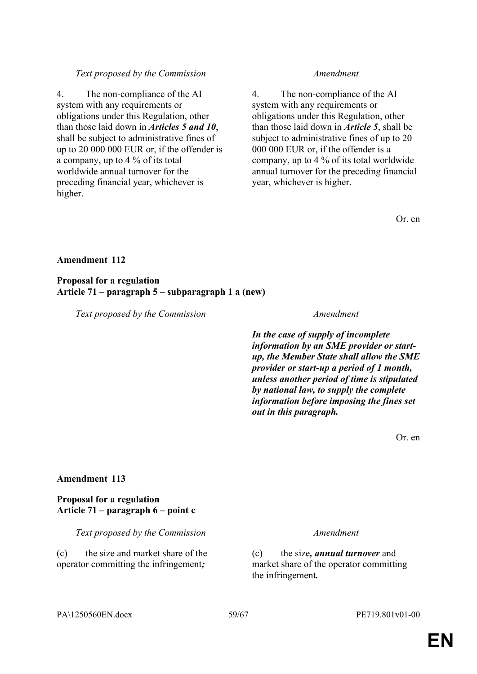# system with any requirements or obligations under this Regulation, other

4. The non-compliance of the AI

than those laid down in *Articles 5 and 10*, shall be subject to administrative fines of up to 20 000 000 EUR or, if the offender is a company, up to 4 % of its total worldwide annual turnover for the preceding financial year, whichever is higher.

#### *Text proposed by the Commission Amendment*

4. The non-compliance of the AI system with any requirements or obligations under this Regulation, other than those laid down in *Article 5*, shall be subject to administrative fines of up to 20 000 000 EUR or, if the offender is a company, up to 4 % of its total worldwide annual turnover for the preceding financial year, whichever is higher.

Or. en

#### **Amendment 112**

**Proposal for a regulation Article 71 – paragraph 5 – subparagraph 1 a (new)**

*Text proposed by the Commission Amendment*

*In the case of supply of incomplete information by an SME provider or startup, the Member State shall allow the SME provider or start-up a period of 1 month, unless another period of time is stipulated by national law, to supply the complete information before imposing the fines set out in this paragraph.*

Or. en

#### **Amendment 113**

# **Proposal for a regulation Article 71 – paragraph 6 – point c**

*Text proposed by the Commission Amendment*

(c) the size and market share of the operator committing the infringement*;*

(c) the size*, annual turnover* and market share of the operator committing the infringement*.*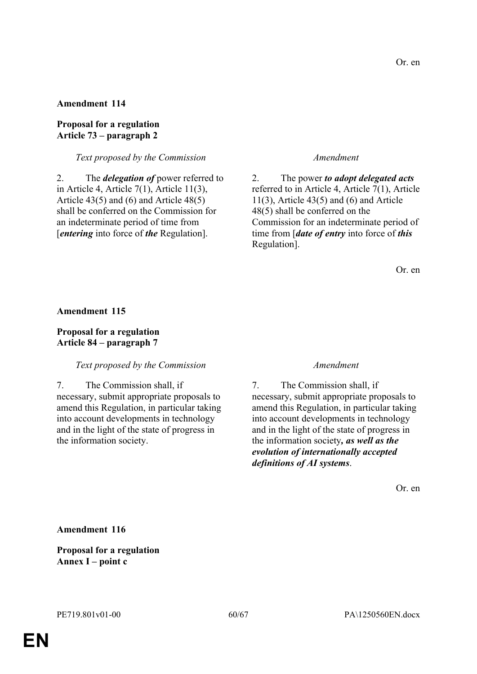# **Proposal for a regulation Article 73 – paragraph 2**

# *Text proposed by the Commission Amendment*

2. The *delegation of* power referred to in Article 4, Article 7(1), Article 11(3), Article 43(5) and (6) and Article 48(5) shall be conferred on the Commission for an indeterminate period of time from [*entering* into force of *the* Regulation].

2. The power *to adopt delegated acts*  referred to in Article 4, Article 7(1), Article  $11(3)$ , Article 43(5) and (6) and Article 48(5) shall be conferred on the Commission for an indeterminate period of time from [*date of entry* into force of *this* Regulation].

Or. en

### **Amendment 115**

# **Proposal for a regulation Article 84 – paragraph 7**

### *Text proposed by the Commission Amendment*

7. The Commission shall, if necessary, submit appropriate proposals to amend this Regulation, in particular taking into account developments in technology and in the light of the state of progress in the information society.

7. The Commission shall, if necessary, submit appropriate proposals to amend this Regulation, in particular taking into account developments in technology and in the light of the state of progress in the information society*, as well as the evolution of internationally accepted definitions of AI systems*.

Or. en

**Amendment 116**

**Proposal for a regulation Annex I – point c**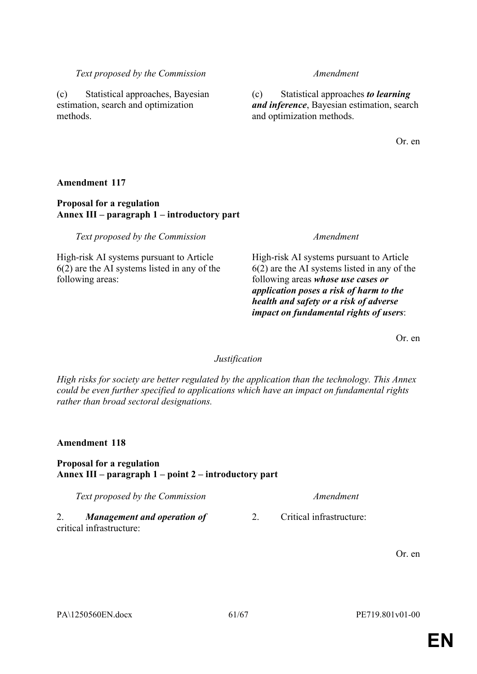2. Critical infrastructure:

# *Text proposed by the Commission Amendment*

(c) Statistical approaches *to learning and inference*, Bayesian estimation, search and optimization methods.

Or. en

# **Amendment 117**

methods.

# **Proposal for a regulation Annex III – paragraph 1 – introductory part**

*Text proposed by the Commission Amendment*

(c) Statistical approaches, Bayesian estimation, search and optimization

High-risk AI systems pursuant to Article 6(2) are the AI systems listed in any of the following areas:

High-risk AI systems pursuant to Article 6(2) are the AI systems listed in any of the following areas *whose use cases or application poses a risk of harm to the health and safety or a risk of adverse impact on fundamental rights of users*:

Or. en

# *Justification*

*High risks for society are better regulated by the application than the technology. This Annex could be even further specified to applications which have an impact on fundamental rights rather than broad sectoral designations.*

# **Amendment 118**

# **Proposal for a regulation Annex III – paragraph 1 – point 2 – introductory part**

*Text proposed by the Commission Amendment*

2. *Management and operation of* critical infrastructure: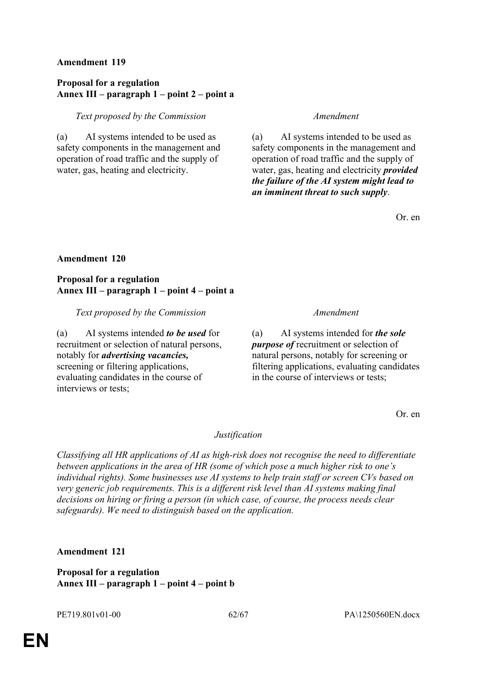# **Proposal for a regulation Annex III – paragraph 1 – point 2 – point a**

# *Text proposed by the Commission Amendment*

(a) AI systems intended to be used as safety components in the management and operation of road traffic and the supply of water, gas, heating and electricity.

(a) AI systems intended to be used as safety components in the management and operation of road traffic and the supply of water, gas, heating and electricity *provided the failure of the AI system might lead to an imminent threat to such supply*.

Or. en

# **Amendment 120**

# **Proposal for a regulation Annex III – paragraph 1 – point 4 – point a**

# *Text proposed by the Commission Amendment*

(a) AI systems intended *to be used* for recruitment or selection of natural persons, notably for *advertising vacancies,* screening or filtering applications, evaluating candidates in the course of interviews or tests;

(a) AI systems intended for *the sole purpose of* recruitment or selection of natural persons, notably for screening or filtering applications, evaluating candidates in the course of interviews or tests;

Or. en

# *Justification*

*Classifying all HR applications of AI as high-risk does not recognise the need to differentiate between applications in the area of HR (some of which pose a much higher risk to one's individual rights). Some businesses use AI systems to help train staff or screen CVs based on very generic job requirements. This is a different risk level than AI systems making final decisions on hiring or firing a person (in which case, of course, the process needs clear safeguards). We need to distinguish based on the application.*

# **Amendment 121**

**Proposal for a regulation Annex III – paragraph 1 – point 4 – point b**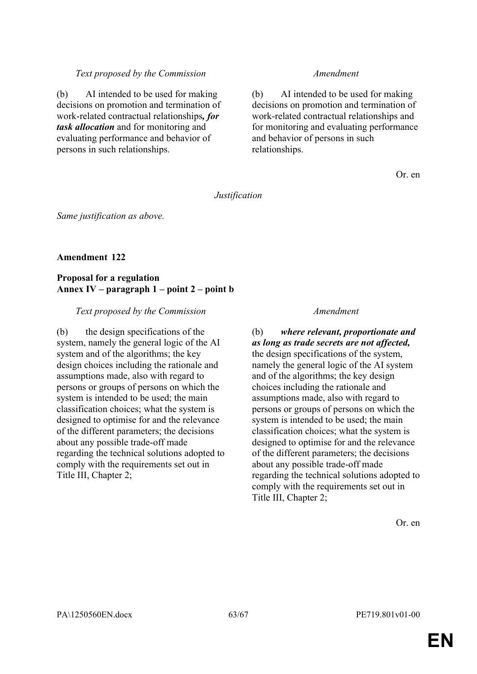### *Text proposed by the Commission Amendment*

(b) AI intended to be used for making decisions on promotion and termination of work-related contractual relationships*, for task allocation* and for monitoring and evaluating performance and behavior of persons in such relationships.

(b) AI intended to be used for making decisions on promotion and termination of work-related contractual relationships and for monitoring and evaluating performance and behavior of persons in such relationships.

Or. en

*Justification*

*Same justification as above.*

# **Amendment 122**

# **Proposal for a regulation Annex IV – paragraph 1 – point 2 – point b**

# *Text proposed by the Commission Amendment*

(b) the design specifications of the system, namely the general logic of the AI system and of the algorithms; the key design choices including the rationale and assumptions made, also with regard to persons or groups of persons on which the system is intended to be used; the main classification choices; what the system is designed to optimise for and the relevance of the different parameters; the decisions about any possible trade-off made regarding the technical solutions adopted to comply with the requirements set out in Title III, Chapter 2;

# (b) *where relevant, proportionate and as long as trade secrets are not affected,* the design specifications of the system, namely the general logic of the AI system and of the algorithms; the key design choices including the rationale and assumptions made, also with regard to persons or groups of persons on which the system is intended to be used; the main classification choices; what the system is designed to optimise for and the relevance of the different parameters; the decisions about any possible trade-off made regarding the technical solutions adopted to comply with the requirements set out in Title III, Chapter 2;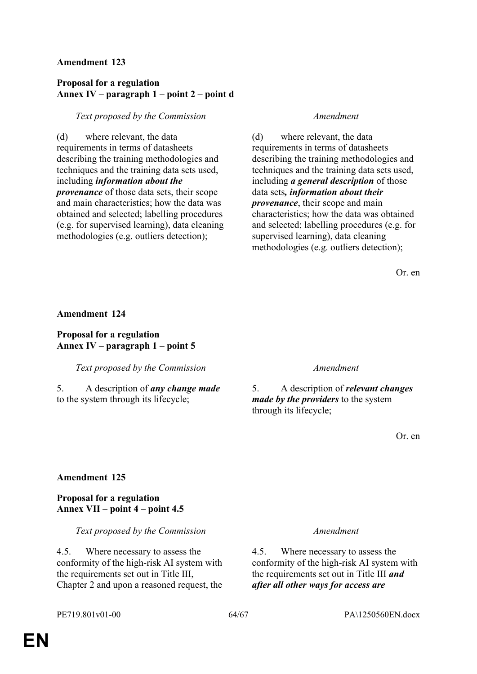# **Proposal for a regulation Annex IV – paragraph 1 – point 2 – point d**

# *Text proposed by the Commission Amendment*

(d) where relevant, the data requirements in terms of datasheets describing the training methodologies and techniques and the training data sets used, including *information about the provenance* of those data sets, their scope and main characteristics; how the data was obtained and selected; labelling procedures (e.g. for supervised learning), data cleaning methodologies (e.g. outliers detection);

(d) where relevant, the data requirements in terms of datasheets describing the training methodologies and techniques and the training data sets used, including *a general description* of those data sets*, information about their provenance*, their scope and main characteristics; how the data was obtained and selected; labelling procedures (e.g. for supervised learning), data cleaning methodologies (e.g. outliers detection);

Or. en

### **Amendment 124**

**Proposal for a regulation Annex IV – paragraph 1 – point 5**

*Text proposed by the Commission Amendment*

5. A description of *any change made* to the system through its lifecycle;

5. A description of *relevant changes made by the providers* to the system through its lifecycle;

Or. en

# **Amendment 125**

# **Proposal for a regulation Annex VII – point 4 – point 4.5**

*Text proposed by the Commission Amendment*

4.5. Where necessary to assess the conformity of the high-risk AI system with the requirements set out in Title III, Chapter 2 and upon a reasoned request, the

4.5. Where necessary to assess the conformity of the high-risk AI system with the requirements set out in Title III *and after all other ways for access are*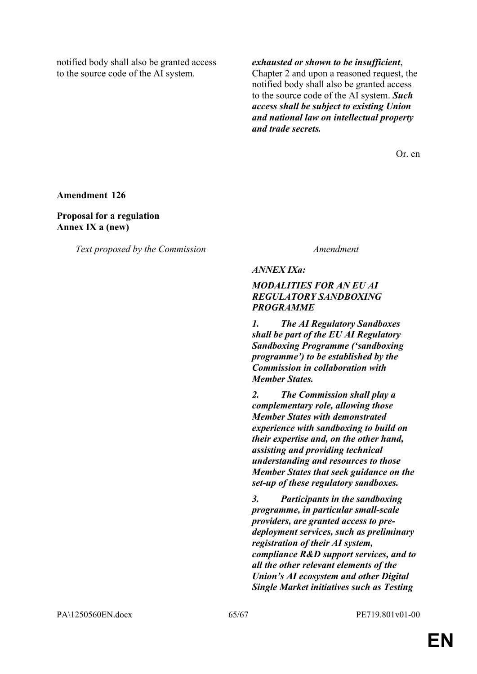notified body shall also be granted access to the source code of the AI system.

Or. en

**Amendment 126**

**Proposal for a regulation Annex IX a (new)**

*Text proposed by the Commission Amendment*

*ANNEX IXa:* 

# *MODALITIES FOR AN EU AI REGULATORY SANDBOXING PROGRAMME*

*1. The AI Regulatory Sandboxes shall be part of the EU AI Regulatory Sandboxing Programme ('sandboxing programme') to be established by the Commission in collaboration with Member States.*

*2. The Commission shall play a complementary role, allowing those Member States with demonstrated experience with sandboxing to build on their expertise and, on the other hand, assisting and providing technical understanding and resources to those Member States that seek guidance on the set-up of these regulatory sandboxes.*

*3. Participants in the sandboxing programme, in particular small-scale providers, are granted access to predeployment services, such as preliminary registration of their AI system, compliance R&D support services, and to all the other relevant elements of the Union's AI ecosystem and other Digital Single Market initiatives such as Testing*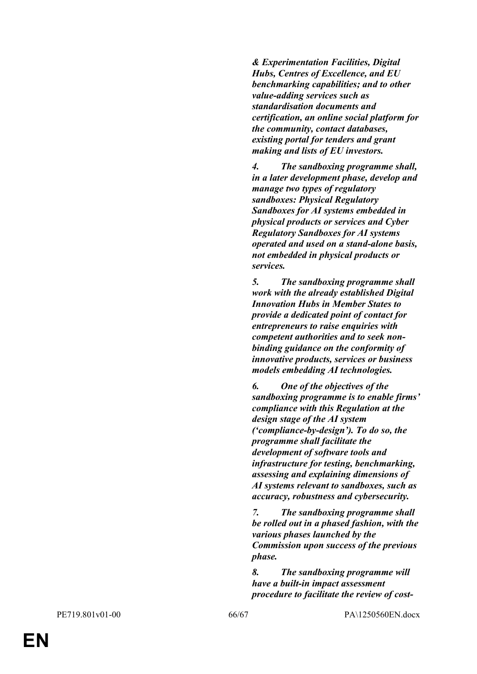*& Experimentation Facilities, Digital Hubs, Centres of Excellence, and EU benchmarking capabilities; and to other value-adding services such as standardisation documents and certification, an online social platform for the community, contact databases, existing portal for tenders and grant making and lists of EU investors.*

*4. The sandboxing programme shall, in a later development phase, develop and manage two types of regulatory sandboxes: Physical Regulatory Sandboxes for AI systems embedded in physical products or services and Cyber Regulatory Sandboxes for AI systems operated and used on a stand-alone basis, not embedded in physical products or services.*

*5. The sandboxing programme shall work with the already established Digital Innovation Hubs in Member States to provide a dedicated point of contact for entrepreneurs to raise enquiries with competent authorities and to seek nonbinding guidance on the conformity of innovative products, services or business models embedding AI technologies.*

*6. One of the objectives of the sandboxing programme is to enable firms' compliance with this Regulation at the design stage of the AI system ('compliance-by-design'). To do so, the programme shall facilitate the development of software tools and infrastructure for testing, benchmarking, assessing and explaining dimensions of AI systems relevant to sandboxes, such as accuracy, robustness and cybersecurity.*

*7. The sandboxing programme shall be rolled out in a phased fashion, with the various phases launched by the Commission upon success of the previous phase.*

*8. The sandboxing programme will have a built-in impact assessment procedure to facilitate the review of cost-*